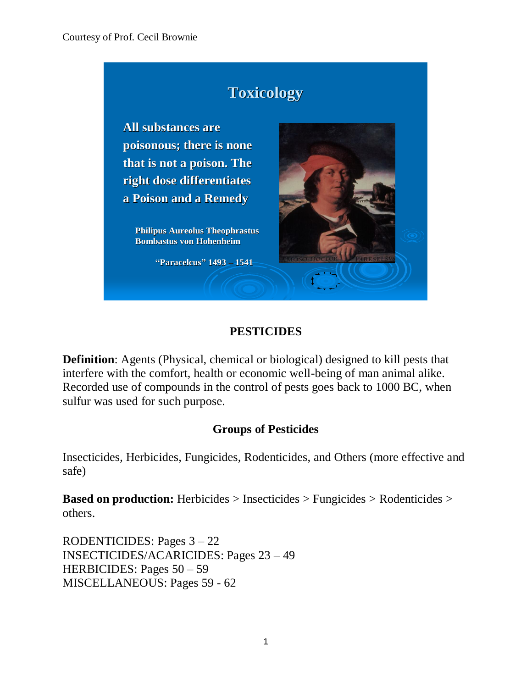

# **PESTICIDES**

**Definition**: Agents (Physical, chemical or biological) designed to kill pests that interfere with the comfort, health or economic well-being of man animal alike. Recorded use of compounds in the control of pests goes back to 1000 BC, when sulfur was used for such purpose.

# **Groups of Pesticides**

Insecticides, Herbicides, Fungicides, Rodenticides, and Others (more effective and safe)

**Based on production:** Herbicides > Insecticides > Fungicides > Rodenticides > others.

RODENTICIDES: Pages 3 – 22 INSECTICIDES/ACARICIDES: Pages 23 – 49 HERBICIDES: Pages 50 – 59 MISCELLANEOUS: Pages 59 - 62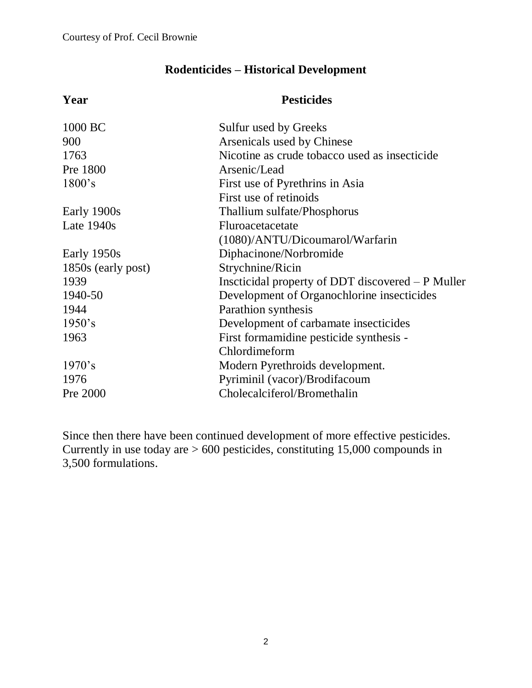# **Rodenticides – Historical Development**

| Year               | <b>Pesticides</b>                                 |
|--------------------|---------------------------------------------------|
| 1000 BC            | Sulfur used by Greeks                             |
| 900                | Arsenicals used by Chinese                        |
| 1763               | Nicotine as crude tobacco used as insecticide     |
| Pre 1800           | Arsenic/Lead                                      |
| $1800$ 's          | First use of Pyrethrins in Asia                   |
|                    | First use of retinoids                            |
| Early 1900s        | Thallium sulfate/Phosphorus                       |
| Late $1940s$       | Fluroacetacetate                                  |
|                    | (1080)/ANTU/Dicoumarol/Warfarin                   |
| Early 1950s        | Diphacinone/Norbromide                            |
| 1850s (early post) | Strychnine/Ricin                                  |
| 1939               | Inscticidal property of DDT discovered – P Muller |
| 1940-50            | Development of Organochlorine insecticides        |
| 1944               | Parathion synthesis                               |
| 1950's             | Development of carbamate insecticides             |
| 1963               | First formamidine pesticide synthesis -           |
|                    | Chlordimeform                                     |
| 1970's             | Modern Pyrethroids development.                   |
| 1976               | Pyriminil (vacor)/Brodifacoum                     |
| Pre 2000           | Cholecalciferol/Bromethalin                       |
|                    |                                                   |

Since then there have been continued development of more effective pesticides. Currently in use today are > 600 pesticides, constituting 15,000 compounds in 3,500 formulations.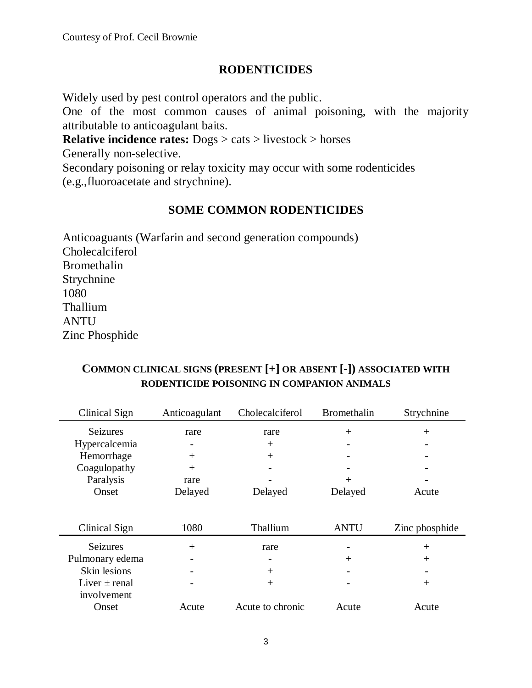#### **RODENTICIDES**

Widely used by pest control operators and the public.

One of the most common causes of animal poisoning, with the majority attributable to anticoagulant baits.

**Relative incidence rates:** Dogs > cats > livestock > horses

Generally non-selective.

Secondary poisoning or relay toxicity may occur with some rodenticides (e.g.,fluoroacetate and strychnine).

# **SOME COMMON RODENTICIDES**

Anticoaguants (Warfarin and second generation compounds) Cholecalciferol Bromethalin Strychnine 1080 Thallium **ANTU** Zinc Phosphide

# Clinical Sign Anticoagulant Cholecalciferol Bromethalin Strychnine Seizures rare rare + + Hypercalcemia - +  $H$ emorrhage  $+$   $+$   $Coagulopathy$  + Paralysis rare  $+$ Onset Delayed Delayed Delayed Acute Clinical Sign 1080 Thallium ANTU Zinc phosphide Seizures + rare - + Pulmonary edema - - + + Skin lesions  $+$   $-$ Liver  $\pm$  renal involvement -  $+$  +  $+$  +  $+$  +  $+$  +  $+$  +  $+$  +  $+$  +  $+$  +  $+$  +  $+$  +  $+$  +  $+$  +  $+$  +  $+$  +  $+$  +  $+$  +  $+$  +  $+$  +  $+$  +  $+$  +  $+$  +  $+$  +  $+$  +  $+$  +  $+$  +  $+$  +  $+$  +  $+$  +  $+$  +  $+$  +  $+$  +  $+$  +  $+$  +  $+$  +  $+$  +  $+$  +  $+$ Onset Acute Acute to chronic Acute Acute

### **COMMON CLINICAL SIGNS (PRESENT [+] OR ABSENT [-]) ASSOCIATED WITH RODENTICIDE POISONING IN COMPANION ANIMALS**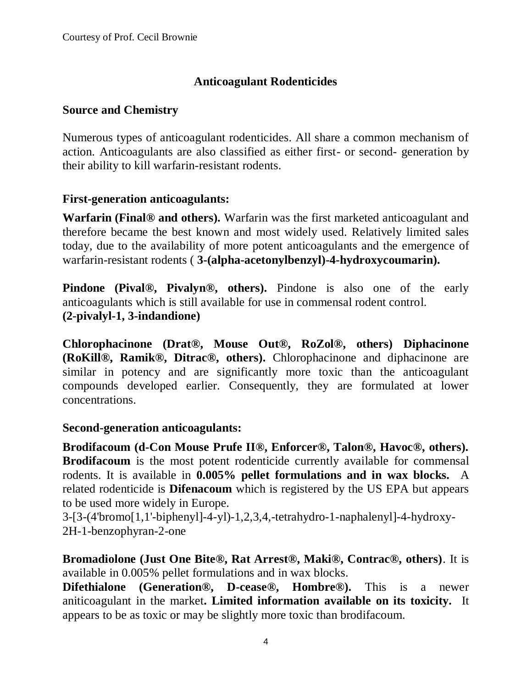# **Anticoagulant Rodenticides**

#### **Source and Chemistry**

Numerous types of anticoagulant rodenticides. All share a common mechanism of action. Anticoagulants are also classified as either first- or second- generation by their ability to kill warfarin-resistant rodents.

#### **First-generation anticoagulants:**

**Warfarin (Final® and others).** Warfarin was the first marketed anticoagulant and therefore became the best known and most widely used. Relatively limited sales today, due to the availability of more potent anticoagulants and the emergence of warfarin-resistant rodents ( **3-(alpha-acetonylbenzyl)-4-hydroxycoumarin).**

**Pindone (Pival®, Pivalyn®, others).** Pindone is also one of the early anticoagulants which is still available for use in commensal rodent control. **(2-pivalyl-1, 3-indandione)**

**Chlorophacinone (Drat®, Mouse Out®, RoZol®, others) Diphacinone (RoKill®, Ramik®, Ditrac®, others).** Chlorophacinone and diphacinone are similar in potency and are significantly more toxic than the anticoagulant compounds developed earlier. Consequently, they are formulated at lower concentrations.

#### **Second-generation anticoagulants:**

**Brodifacoum (d-Con Mouse Prufe II®, Enforcer®, Talon®, Havoc®, others). Brodifacoum** is the most potent rodenticide currently available for commensal rodents. It is available in **0.005% pellet formulations and in wax blocks.** A related rodenticide is **Difenacoum** which is registered by the US EPA but appears to be used more widely in Europe.

3-[3-(4'bromo[1,1'-biphenyl]-4-yl)-1,2,3,4,-tetrahydro-1-naphalenyl]-4-hydroxy-2H-1-benzophyran-2-one

**Bromadiolone (Just One Bite®, Rat Arrest®, Maki®, Contrac®, others)**. It is available in 0.005% pellet formulations and in wax blocks.

**Difethialone (Generation®, D-cease®, Hombre®).** This is a newer aniticoagulant in the market**. Limited information available on its toxicity.** It appears to be as toxic or may be slightly more toxic than brodifacoum.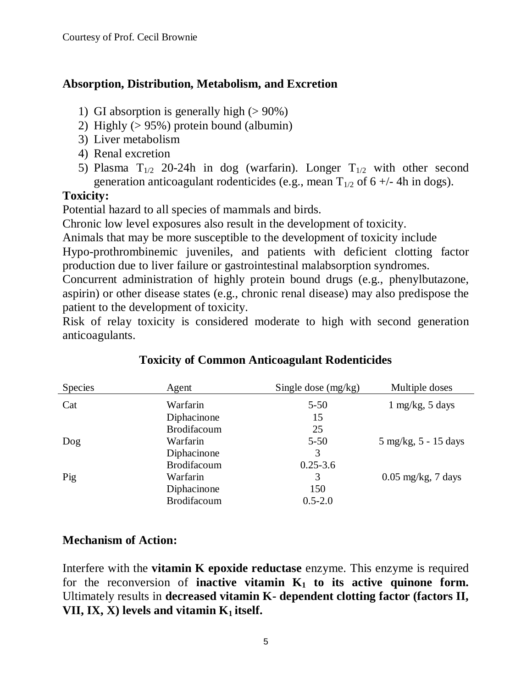# **Absorption, Distribution, Metabolism, and Excretion**

- 1) GI absorption is generally high  $(>90\%)$
- 2) Highly (> 95%) protein bound (albumin)
- 3) Liver metabolism
- 4) Renal excretion
- 5) Plasma  $T_{1/2}$  20-24h in dog (warfarin). Longer  $T_{1/2}$  with other second generation anticoagulant rodenticides (e.g., mean  $T_{1/2}$  of 6 +/-4h in dogs).

# **Toxicity:**

Potential hazard to all species of mammals and birds.

Chronic low level exposures also result in the development of toxicity.

Animals that may be more susceptible to the development of toxicity include Hypo-prothrombinemic juveniles, and patients with deficient clotting factor

production due to liver failure or gastrointestinal malabsorption syndromes.

Concurrent administration of highly protein bound drugs (e.g., phenylbutazone, aspirin) or other disease states (e.g., chronic renal disease) may also predispose the patient to the development of toxicity.

Risk of relay toxicity is considered moderate to high with second generation anticoagulants.

| <b>Species</b> | Agent              | Single dose $(mg/kg)$ | Multiple doses                         |
|----------------|--------------------|-----------------------|----------------------------------------|
| Cat            | Warfarin           | $5 - 50$              | $1 \text{ mg/kg}, 5 \text{ days}$      |
|                | Diphacinone        | 15                    |                                        |
|                | <b>Brodifacoum</b> | 25                    |                                        |
| Dog            | Warfarin           | $5 - 50$              | $5 \text{ mg/kg}, 5 - 15 \text{ days}$ |
|                | Diphacinone        | 3                     |                                        |
|                | <b>Brodifacoum</b> | $0.25 - 3.6$          |                                        |
| Pig            | Warfarin           | 3                     | $0.05$ mg/kg, 7 days                   |
|                | Diphacinone        | 150                   |                                        |
|                | Brodifacoum        | $0.5 - 2.0$           |                                        |
|                |                    |                       |                                        |

# **Toxicity of Common Anticoagulant Rodenticides**

#### **Mechanism of Action:**

Interfere with the **vitamin K epoxide reductase** enzyme. This enzyme is required for the reconversion of **inactive vitamin**  $K_1$  **to its active quinone form.** Ultimately results in **decreased vitamin K- dependent clotting factor (factors II, VII, IX, X) levels and vitamin**  $K_1$  **itself.**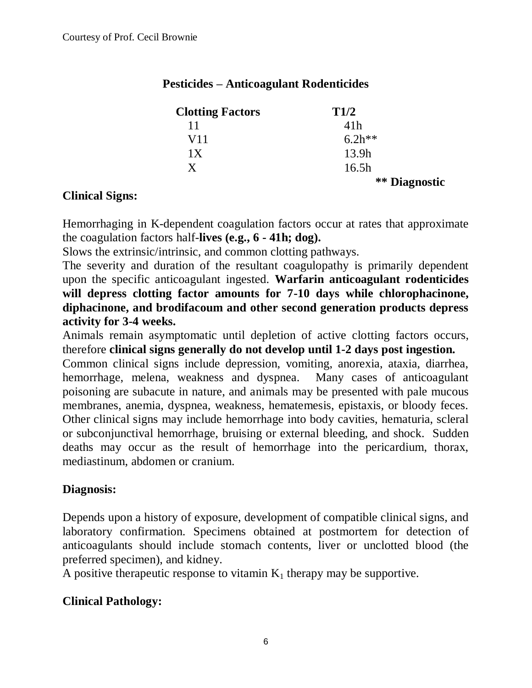| <b>Clotting Factors</b> | T1/2                 |
|-------------------------|----------------------|
| 11                      | 41 <sub>h</sub>      |
| V11                     | $6.2h**$             |
| 1X                      | 13.9h                |
| $\mathbf X$             | 16.5h                |
|                         | <b>**</b> Diagnostic |

# **Pesticides – Anticoagulant Rodenticides**

#### **Clinical Signs:**

Hemorrhaging in K-dependent coagulation factors occur at rates that approximate the coagulation factors half-**lives (e.g., 6 - 41h; dog).**

Slows the extrinsic/intrinsic, and common clotting pathways.

The severity and duration of the resultant coagulopathy is primarily dependent upon the specific anticoagulant ingested. **Warfarin anticoagulant rodenticides will depress clotting factor amounts for 7-10 days while chlorophacinone, diphacinone, and brodifacoum and other second generation products depress activity for 3-4 weeks.**

Animals remain asymptomatic until depletion of active clotting factors occurs, therefore **clinical signs generally do not develop until 1-2 days post ingestion.**

Common clinical signs include depression, vomiting, anorexia, ataxia, diarrhea, hemorrhage, melena, weakness and dyspnea. Many cases of anticoagulant poisoning are subacute in nature, and animals may be presented with pale mucous membranes, anemia, dyspnea, weakness, hematemesis, epistaxis, or bloody feces. Other clinical signs may include hemorrhage into body cavities, hematuria, scleral or subconjunctival hemorrhage, bruising or external bleeding, and shock. Sudden deaths may occur as the result of hemorrhage into the pericardium, thorax, mediastinum, abdomen or cranium.

# **Diagnosis:**

Depends upon a history of exposure, development of compatible clinical signs, and laboratory confirmation. Specimens obtained at postmortem for detection of anticoagulants should include stomach contents, liver or unclotted blood (the preferred specimen), and kidney.

A positive therapeutic response to vitamin  $K_1$  therapy may be supportive.

# **Clinical Pathology:**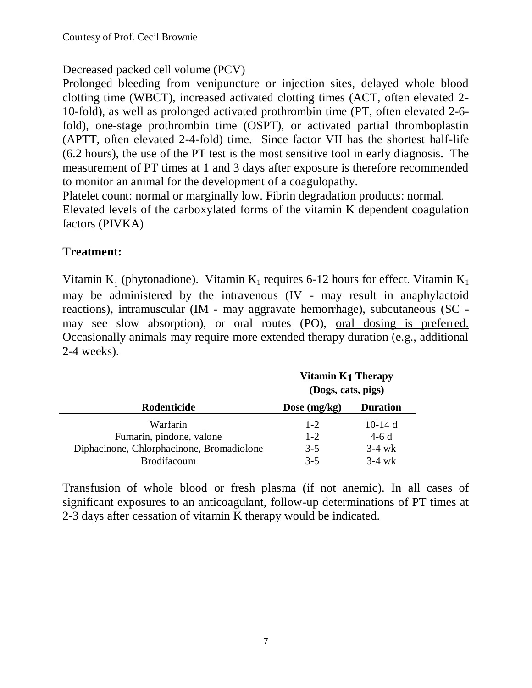# Decreased packed cell volume (PCV)

Prolonged bleeding from venipuncture or injection sites, delayed whole blood clotting time (WBCT), increased activated clotting times (ACT, often elevated 2- 10-fold), as well as prolonged activated prothrombin time (PT, often elevated 2-6 fold), one-stage prothrombin time (OSPT), or activated partial thromboplastin (APTT, often elevated 2-4-fold) time. Since factor VII has the shortest half-life (6.2 hours), the use of the PT test is the most sensitive tool in early diagnosis. The measurement of PT times at 1 and 3 days after exposure is therefore recommended to monitor an animal for the development of a coagulopathy.

Platelet count: normal or marginally low. Fibrin degradation products: normal. Elevated levels of the carboxylated forms of the vitamin K dependent coagulation factors (PIVKA)

# **Treatment:**

Vitamin  $K_1$  (phytonadione). Vitamin  $K_1$  requires 6-12 hours for effect. Vitamin  $K_1$ may be administered by the intravenous (IV - may result in anaphylactoid reactions), intramuscular (IM - may aggravate hemorrhage), subcutaneous (SC may see slow absorption), or oral routes (PO), oral dosing is preferred. Occasionally animals may require more extended therapy duration (e.g., additional 2-4 weeks).

|                                           | Vitamin K1 Therapy<br>(Dogs, cats, pigs) |                  |
|-------------------------------------------|------------------------------------------|------------------|
| Rodenticide                               | Dose $(mg/kg)$                           | <b>Duration</b>  |
| Warfarin                                  | $1 - 2$                                  | 10-14 $d$        |
| Fumarin, pindone, valone                  | $1 - 2$                                  | $4-6d$           |
| Diphacinone, Chlorphacinone, Bromadiolone | $3 - 5$                                  | $3-4 \text{ wk}$ |
| Brodifacoum                               | $3-5$                                    | $3-4 \text{ wk}$ |

Transfusion of whole blood or fresh plasma (if not anemic). In all cases of significant exposures to an anticoagulant, follow-up determinations of PT times at 2-3 days after cessation of vitamin K therapy would be indicated.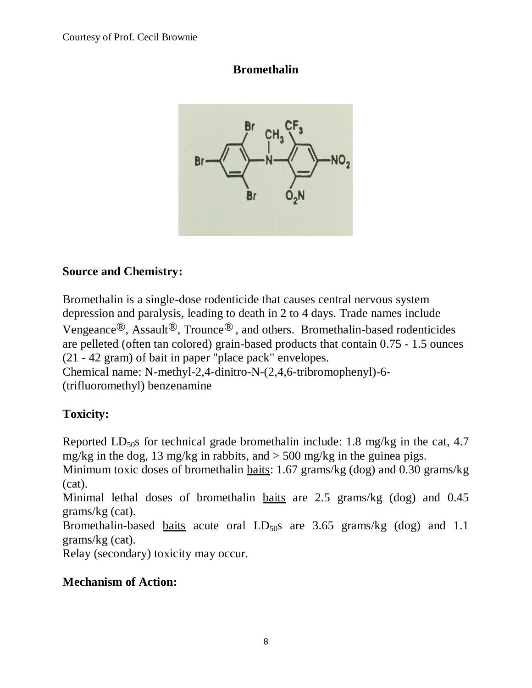# **Bromethalin**



# **Source and Chemistry:**

Bromethalin is a single-dose rodenticide that causes central nervous system depression and paralysis, leading to death in 2 to 4 days. Trade names include Vengeance<sup>®</sup>, Assault<sup>®</sup>, Trounce<sup>®</sup>, and others. Bromethalin-based rodenticides are pelleted (often tan colored) grain-based products that contain 0.75 - 1.5 ounces (21 - 42 gram) of bait in paper "place pack" envelopes. Chemical name: N-methyl-2,4-dinitro-N-(2,4,6-tribromophenyl)-6-

(trifluoromethyl) benzenamine

# **Toxicity:**

Reported  $LD_{50}$ s for technical grade bromethalin include: 1.8 mg/kg in the cat, 4.7 mg/kg in the dog, 13 mg/kg in rabbits, and  $>$  500 mg/kg in the guinea pigs.

Minimum toxic doses of bromethalin baits: 1.67 grams/kg (dog) and 0.30 grams/kg (cat).

Minimal lethal doses of bromethalin baits are 2.5 grams/kg (dog) and 0.45 grams/kg (cat).

Bromethalin-based baits acute oral  $LD_{50}$ s are 3.65 grams/kg (dog) and 1.1 grams/kg (cat).

Relay (secondary) toxicity may occur.

# **Mechanism of Action:**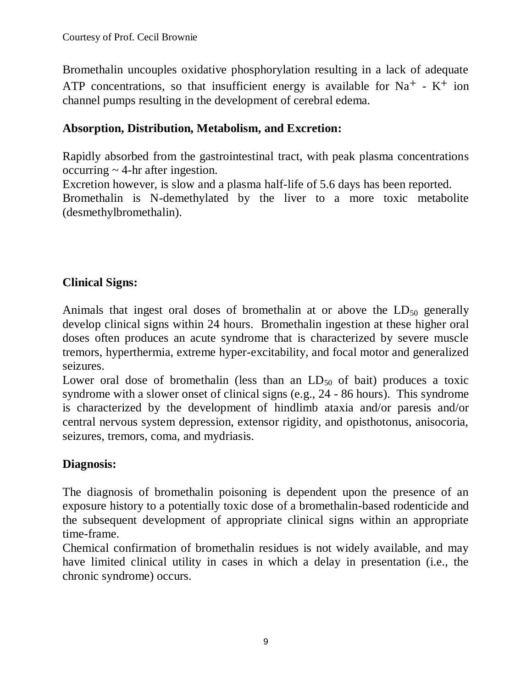Bromethalin uncouples oxidative phosphorylation resulting in a lack of adequate ATP concentrations, so that insufficient energy is available for  $Na^+ - K^+$  ion channel pumps resulting in the development of cerebral edema.

# **Absorption, Distribution, Metabolism, and Excretion:**

Rapidly absorbed from the gastrointestinal tract, with peak plasma concentrations occurring  $\sim$  4-hr after ingestion.

Excretion however, is slow and a plasma half-life of 5.6 days has been reported. Bromethalin is N-demethylated by the liver to a more toxic metabolite (desmethylbromethalin).

# **Clinical Signs:**

Animals that ingest oral doses of bromethalin at or above the  $LD_{50}$  generally develop clinical signs within 24 hours. Bromethalin ingestion at these higher oral doses often produces an acute syndrome that is characterized by severe muscle tremors, hyperthermia, extreme hyper-excitability, and focal motor and generalized seizures.

Lower oral dose of bromethalin (less than an  $LD_{50}$  of bait) produces a toxic syndrome with a slower onset of clinical signs (e.g., 24 - 86 hours). This syndrome is characterized by the development of hindlimb ataxia and/or paresis and/or central nervous system depression, extensor rigidity, and opisthotonus, anisocoria, seizures, tremors, coma, and mydriasis.

# **Diagnosis:**

The diagnosis of bromethalin poisoning is dependent upon the presence of an exposure history to a potentially toxic dose of a bromethalin-based rodenticide and the subsequent development of appropriate clinical signs within an appropriate time-frame.

Chemical confirmation of bromethalin residues is not widely available, and may have limited clinical utility in cases in which a delay in presentation (i.e., the chronic syndrome) occurs.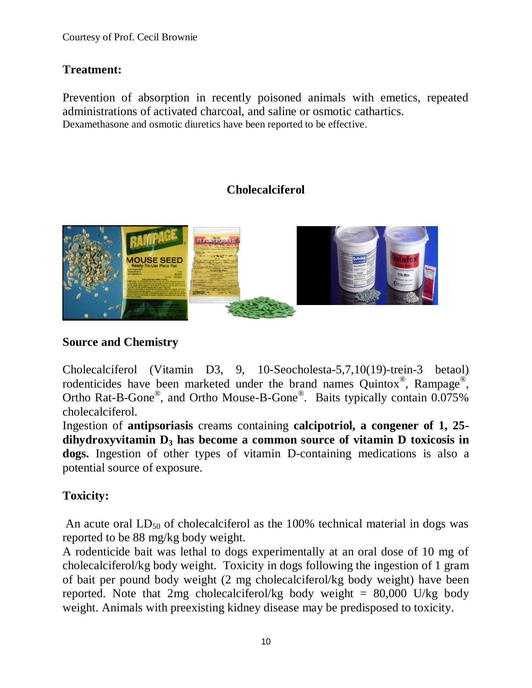# **Treatment:**

Prevention of absorption in recently poisoned animals with emetics, repeated administrations of activated charcoal, and saline or osmotic cathartics. Dexamethasone and osmotic diuretics have been reported to be effective.

# **Cholecalciferol**



# **Source and Chemistry**

Cholecalciferol (Vitamin D3, 9, 10-Seocholesta-5,7,10(19)-trein-3 betaol) rodenticides have been marketed under the brand names Quintox<sup>®</sup>, Rampage<sup>®</sup>, Ortho Rat-B-Gone<sup>®</sup>, and Ortho Mouse-B-Gone<sup>®</sup>. Baits typically contain 0.075% cholecalciferol.

Ingestion of **antipsoriasis** creams containing **calcipotriol, a congener of 1, 25 dihydroxyvitamin D<sup>3</sup> has become a common source of vitamin D toxicosis in dogs.** Ingestion of other types of vitamin D-containing medications is also a potential source of exposure.

# **Toxicity:**

An acute oral  $LD_{50}$  of cholecalciferol as the 100% technical material in dogs was reported to be 88 mg/kg body weight.

A rodenticide bait was lethal to dogs experimentally at an oral dose of 10 mg of cholecalciferol/kg body weight. Toxicity in dogs following the ingestion of 1 gram of bait per pound body weight (2 mg cholecalciferol/kg body weight) have been reported. Note that 2mg cholecalciferol/kg body weight =  $80,000$  U/kg body weight. Animals with preexisting kidney disease may be predisposed to toxicity.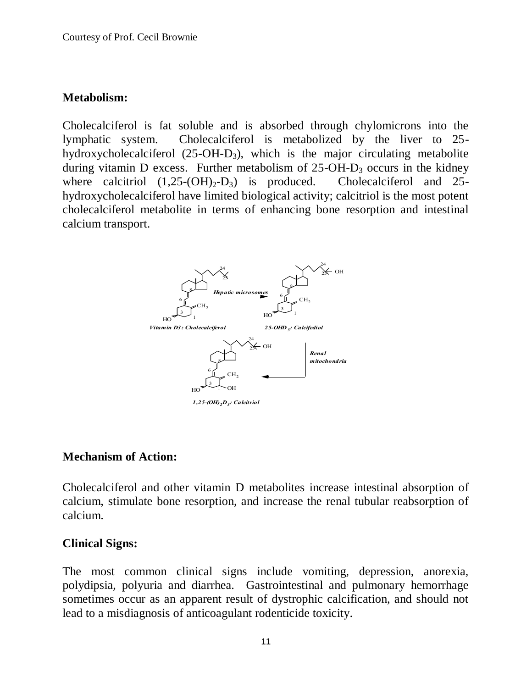#### **Metabolism:**

Cholecalciferol is fat soluble and is absorbed through chylomicrons into the lymphatic system. Cholecalciferol is metabolized by the liver to 25 hydroxycholecalciferol  $(25-OH-D_3)$ , which is the major circulating metabolite during vitamin D excess. Further metabolism of  $25$ -OH-D<sub>3</sub> occurs in the kidney where calcitriol  $(1,25\text{-}(OH)_2\text{-}D_3)$  is produced. Cholecalciferol and 25hydroxycholecalciferol have limited biological activity; calcitriol is the most potent cholecalciferol metabolite in terms of enhancing bone resorption and intestinal calcium transport.



#### **Mechanism of Action:**

Cholecalciferol and other vitamin D metabolites increase intestinal absorption of calcium, stimulate bone resorption, and increase the renal tubular reabsorption of calcium.

#### **Clinical Signs:**

The most common clinical signs include vomiting, depression, anorexia, polydipsia, polyuria and diarrhea. Gastrointestinal and pulmonary hemorrhage sometimes occur as an apparent result of dystrophic calcification, and should not lead to a misdiagnosis of anticoagulant rodenticide toxicity.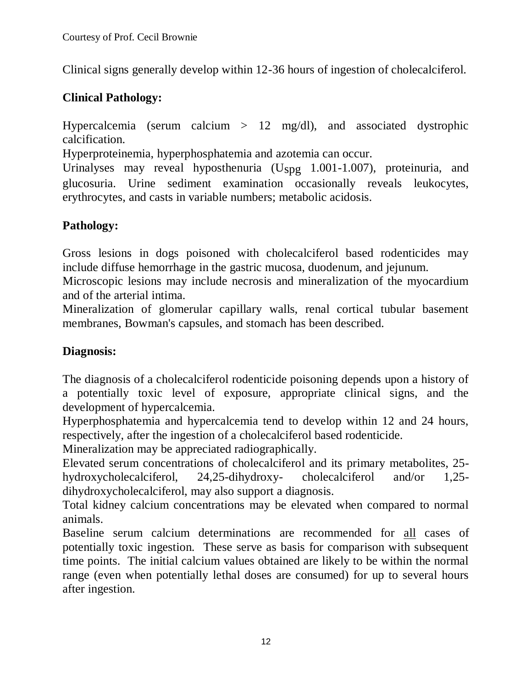Clinical signs generally develop within 12-36 hours of ingestion of cholecalciferol.

# **Clinical Pathology:**

Hypercalcemia (serum calcium > 12 mg/dl), and associated dystrophic calcification.

Hyperproteinemia, hyperphosphatemia and azotemia can occur.

Urinalyses may reveal hyposthenuria (Uspg 1.001-1.007), proteinuria, and glucosuria. Urine sediment examination occasionally reveals leukocytes, erythrocytes, and casts in variable numbers; metabolic acidosis.

# **Pathology:**

Gross lesions in dogs poisoned with cholecalciferol based rodenticides may include diffuse hemorrhage in the gastric mucosa, duodenum, and jejunum.

Microscopic lesions may include necrosis and mineralization of the myocardium and of the arterial intima.

Mineralization of glomerular capillary walls, renal cortical tubular basement membranes, Bowman's capsules, and stomach has been described.

# **Diagnosis:**

The diagnosis of a cholecalciferol rodenticide poisoning depends upon a history of a potentially toxic level of exposure, appropriate clinical signs, and the development of hypercalcemia.

Hyperphosphatemia and hypercalcemia tend to develop within 12 and 24 hours, respectively, after the ingestion of a cholecalciferol based rodenticide.

Mineralization may be appreciated radiographically.

Elevated serum concentrations of cholecalciferol and its primary metabolites, 25 hydroxycholecalciferol, 24,25-dihydroxy- cholecalciferol and/or 1,25 dihydroxycholecalciferol, may also support a diagnosis.

Total kidney calcium concentrations may be elevated when compared to normal animals.

Baseline serum calcium determinations are recommended for all cases of potentially toxic ingestion. These serve as basis for comparison with subsequent time points. The initial calcium values obtained are likely to be within the normal range (even when potentially lethal doses are consumed) for up to several hours after ingestion.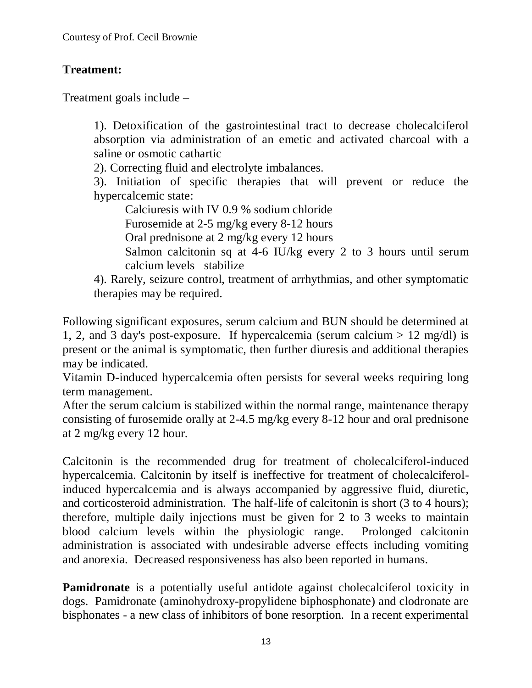# **Treatment:**

Treatment goals include –

1). Detoxification of the gastrointestinal tract to decrease cholecalciferol absorption via administration of an emetic and activated charcoal with a saline or osmotic cathartic

2). Correcting fluid and electrolyte imbalances.

3). Initiation of specific therapies that will prevent or reduce the hypercalcemic state:

Calciuresis with IV 0.9 % sodium chloride

Furosemide at 2-5 mg/kg every 8-12 hours

Oral prednisone at 2 mg/kg every 12 hours

Salmon calcitonin sq at 4-6 IU/kg every 2 to 3 hours until serum calcium levels stabilize

4). Rarely, seizure control, treatment of arrhythmias, and other symptomatic therapies may be required.

Following significant exposures, serum calcium and BUN should be determined at 1, 2, and 3 day's post-exposure. If hypercalcemia (serum calcium  $> 12 \text{ mg/dl}$ ) is present or the animal is symptomatic, then further diuresis and additional therapies may be indicated.

Vitamin D-induced hypercalcemia often persists for several weeks requiring long term management.

After the serum calcium is stabilized within the normal range, maintenance therapy consisting of furosemide orally at 2-4.5 mg/kg every 8-12 hour and oral prednisone at 2 mg/kg every 12 hour.

Calcitonin is the recommended drug for treatment of cholecalciferol-induced hypercalcemia. Calcitonin by itself is ineffective for treatment of cholecalciferolinduced hypercalcemia and is always accompanied by aggressive fluid, diuretic, and corticosteroid administration. The half-life of calcitonin is short (3 to 4 hours); therefore, multiple daily injections must be given for 2 to 3 weeks to maintain blood calcium levels within the physiologic range. Prolonged calcitonin administration is associated with undesirable adverse effects including vomiting and anorexia. Decreased responsiveness has also been reported in humans.

**Pamidronate** is a potentially useful antidote against cholecalciferol toxicity in dogs. Pamidronate (aminohydroxy-propylidene biphosphonate) and clodronate are bisphonates - a new class of inhibitors of bone resorption. In a recent experimental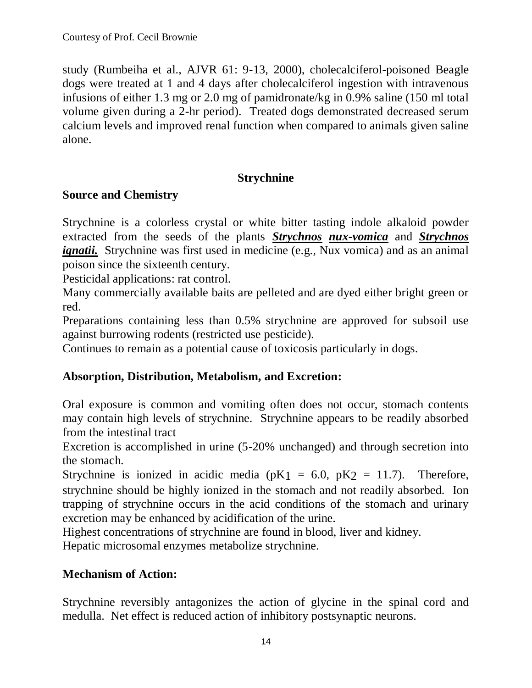study (Rumbeiha et al., AJVR 61: 9-13, 2000), cholecalciferol-poisoned Beagle dogs were treated at 1 and 4 days after cholecalciferol ingestion with intravenous infusions of either 1.3 mg or 2.0 mg of pamidronate/kg in 0.9% saline (150 ml total volume given during a 2-hr period). Treated dogs demonstrated decreased serum calcium levels and improved renal function when compared to animals given saline alone.

### **Strychnine**

### **Source and Chemistry**

Strychnine is a colorless crystal or white bitter tasting indole alkaloid powder extracted from the seeds of the plants *Strychnos nux-vomica* and *Strychnos ignatii.* Strychnine was first used in medicine (e.g., Nux vomica) and as an animal poison since the sixteenth century.

Pesticidal applications: rat control.

Many commercially available baits are pelleted and are dyed either bright green or red.

Preparations containing less than 0.5% strychnine are approved for subsoil use against burrowing rodents (restricted use pesticide).

Continues to remain as a potential cause of toxicosis particularly in dogs.

# **Absorption, Distribution, Metabolism, and Excretion:**

Oral exposure is common and vomiting often does not occur, stomach contents may contain high levels of strychnine. Strychnine appears to be readily absorbed from the intestinal tract

Excretion is accomplished in urine (5-20% unchanged) and through secretion into the stomach.

Strychnine is ionized in acidic media ( $pK1 = 6.0$ ,  $pK2 = 11.7$ ). Therefore, strychnine should be highly ionized in the stomach and not readily absorbed. Ion trapping of strychnine occurs in the acid conditions of the stomach and urinary excretion may be enhanced by acidification of the urine.

Highest concentrations of strychnine are found in blood, liver and kidney. Hepatic microsomal enzymes metabolize strychnine.

#### **Mechanism of Action:**

Strychnine reversibly antagonizes the action of glycine in the spinal cord and medulla. Net effect is reduced action of inhibitory postsynaptic neurons.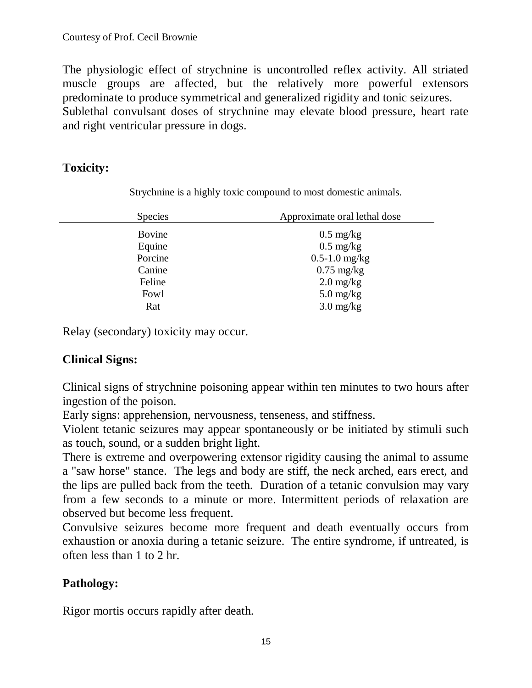The physiologic effect of strychnine is uncontrolled reflex activity. All striated muscle groups are affected, but the relatively more powerful extensors predominate to produce symmetrical and generalized rigidity and tonic seizures. Sublethal convulsant doses of strychnine may elevate blood pressure, heart rate and right ventricular pressure in dogs.

# **Toxicity:**

Strychnine is a highly toxic compound to most domestic animals.

| <b>Species</b> | Approximate oral lethal dose      |
|----------------|-----------------------------------|
| Bovine         | $0.5 \text{ mg/kg}$               |
| Equine         | $0.5 \text{ mg/kg}$               |
| Porcine        | $0.5 - 1.0$ mg/kg                 |
| Canine         | $0.75$ mg/kg                      |
| Feline         | $2.0 \frac{\text{mg}}{\text{kg}}$ |
| Fowl           | $5.0$ mg/kg                       |
| Rat            | $3.0$ mg/kg                       |

Relay (secondary) toxicity may occur.

# **Clinical Signs:**

Clinical signs of strychnine poisoning appear within ten minutes to two hours after ingestion of the poison.

Early signs: apprehension, nervousness, tenseness, and stiffness.

Violent tetanic seizures may appear spontaneously or be initiated by stimuli such as touch, sound, or a sudden bright light.

There is extreme and overpowering extensor rigidity causing the animal to assume a "saw horse" stance. The legs and body are stiff, the neck arched, ears erect, and the lips are pulled back from the teeth. Duration of a tetanic convulsion may vary from a few seconds to a minute or more. Intermittent periods of relaxation are observed but become less frequent.

Convulsive seizures become more frequent and death eventually occurs from exhaustion or anoxia during a tetanic seizure. The entire syndrome, if untreated, is often less than 1 to 2 hr.

# **Pathology:**

Rigor mortis occurs rapidly after death.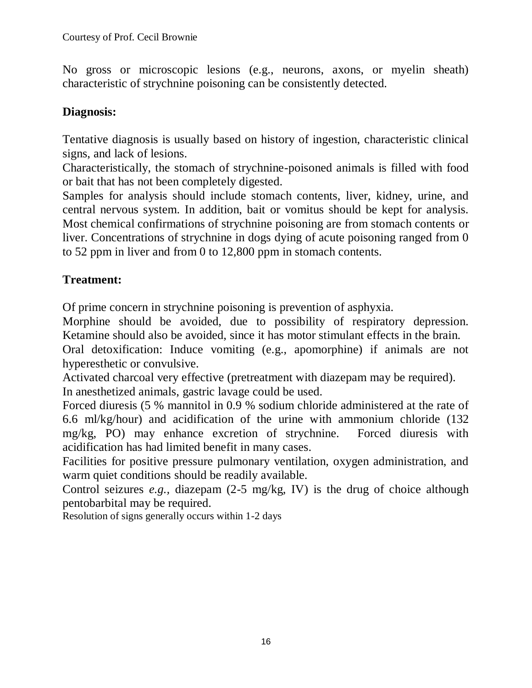No gross or microscopic lesions (e.g., neurons, axons, or myelin sheath) characteristic of strychnine poisoning can be consistently detected.

# **Diagnosis:**

Tentative diagnosis is usually based on history of ingestion, characteristic clinical signs, and lack of lesions.

Characteristically, the stomach of strychnine-poisoned animals is filled with food or bait that has not been completely digested.

Samples for analysis should include stomach contents, liver, kidney, urine, and central nervous system. In addition, bait or vomitus should be kept for analysis. Most chemical confirmations of strychnine poisoning are from stomach contents or liver. Concentrations of strychnine in dogs dying of acute poisoning ranged from 0 to 52 ppm in liver and from 0 to 12,800 ppm in stomach contents.

# **Treatment:**

Of prime concern in strychnine poisoning is prevention of asphyxia.

Morphine should be avoided, due to possibility of respiratory depression. Ketamine should also be avoided, since it has motor stimulant effects in the brain.

Oral detoxification: Induce vomiting (e.g., apomorphine) if animals are not hyperesthetic or convulsive.

Activated charcoal very effective (pretreatment with diazepam may be required). In anesthetized animals, gastric lavage could be used.

Forced diuresis (5 % mannitol in 0.9 % sodium chloride administered at the rate of 6.6 ml/kg/hour) and acidification of the urine with ammonium chloride (132 mg/kg, PO) may enhance excretion of strychnine. Forced diuresis with acidification has had limited benefit in many cases.

Facilities for positive pressure pulmonary ventilation, oxygen administration, and warm quiet conditions should be readily available.

Control seizures *e.g.,* diazepam (2-5 mg/kg, IV) is the drug of choice although pentobarbital may be required.

Resolution of signs generally occurs within 1-2 days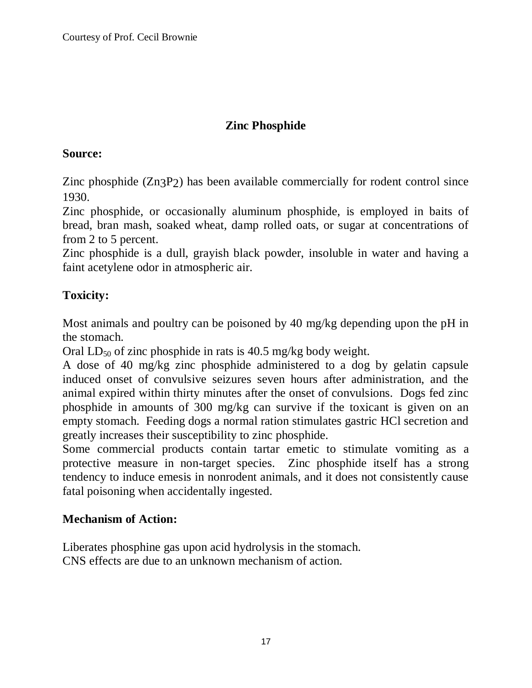# **Zinc Phosphide**

### **Source:**

Zinc phosphide (Zn3P2) has been available commercially for rodent control since 1930.

Zinc phosphide, or occasionally aluminum phosphide, is employed in baits of bread, bran mash, soaked wheat, damp rolled oats, or sugar at concentrations of from 2 to 5 percent.

Zinc phosphide is a dull, grayish black powder, insoluble in water and having a faint acetylene odor in atmospheric air.

# **Toxicity:**

Most animals and poultry can be poisoned by 40 mg/kg depending upon the pH in the stomach.

Oral  $LD_{50}$  of zinc phosphide in rats is 40.5 mg/kg body weight.

A dose of 40 mg/kg zinc phosphide administered to a dog by gelatin capsule induced onset of convulsive seizures seven hours after administration, and the animal expired within thirty minutes after the onset of convulsions. Dogs fed zinc phosphide in amounts of 300 mg/kg can survive if the toxicant is given on an empty stomach. Feeding dogs a normal ration stimulates gastric HCl secretion and greatly increases their susceptibility to zinc phosphide.

Some commercial products contain tartar emetic to stimulate vomiting as a protective measure in non-target species. Zinc phosphide itself has a strong tendency to induce emesis in nonrodent animals, and it does not consistently cause fatal poisoning when accidentally ingested.

# **Mechanism of Action:**

Liberates phosphine gas upon acid hydrolysis in the stomach. CNS effects are due to an unknown mechanism of action.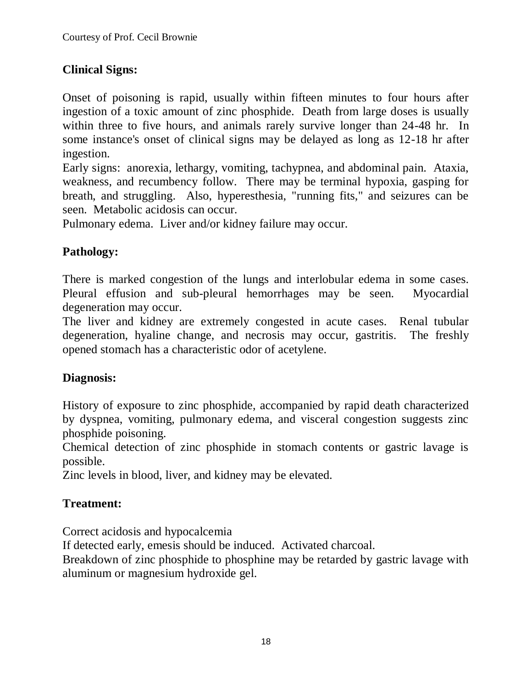# **Clinical Signs:**

Onset of poisoning is rapid, usually within fifteen minutes to four hours after ingestion of a toxic amount of zinc phosphide. Death from large doses is usually within three to five hours, and animals rarely survive longer than 24-48 hr. In some instance's onset of clinical signs may be delayed as long as 12-18 hr after ingestion.

Early signs: anorexia, lethargy, vomiting, tachypnea, and abdominal pain. Ataxia, weakness, and recumbency follow. There may be terminal hypoxia, gasping for breath, and struggling. Also, hyperesthesia, "running fits," and seizures can be seen. Metabolic acidosis can occur.

Pulmonary edema. Liver and/or kidney failure may occur.

# **Pathology:**

There is marked congestion of the lungs and interlobular edema in some cases. Pleural effusion and sub-pleural hemorrhages may be seen. Myocardial degeneration may occur.

The liver and kidney are extremely congested in acute cases. Renal tubular degeneration, hyaline change, and necrosis may occur, gastritis. The freshly opened stomach has a characteristic odor of acetylene.

# **Diagnosis:**

History of exposure to zinc phosphide, accompanied by rapid death characterized by dyspnea, vomiting, pulmonary edema, and visceral congestion suggests zinc phosphide poisoning.

Chemical detection of zinc phosphide in stomach contents or gastric lavage is possible.

Zinc levels in blood, liver, and kidney may be elevated.

# **Treatment:**

Correct acidosis and hypocalcemia

If detected early, emesis should be induced. Activated charcoal.

Breakdown of zinc phosphide to phosphine may be retarded by gastric lavage with aluminum or magnesium hydroxide gel.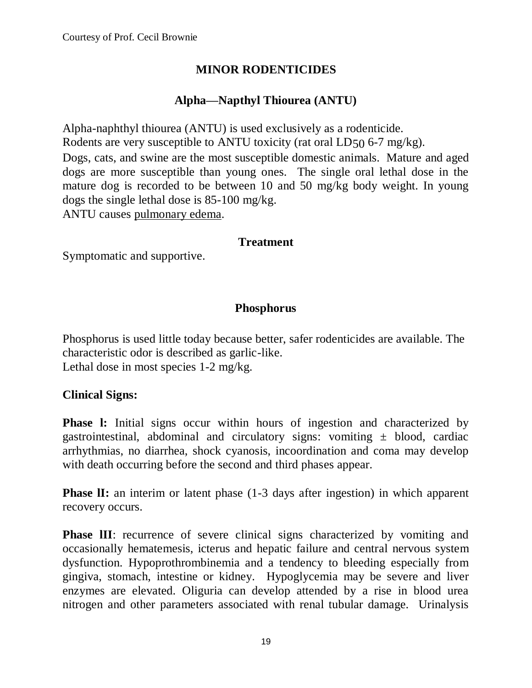# **MINOR RODENTICIDES**

# **Alpha—Napthyl Thiourea (ANTU)**

Alpha-naphthyl thiourea (ANTU) is used exclusively as a rodenticide. Rodents are very susceptible to ANTU toxicity (rat oral LD50 6-7 mg/kg). Dogs, cats, and swine are the most susceptible domestic animals. Mature and aged dogs are more susceptible than young ones. The single oral lethal dose in the mature dog is recorded to be between 10 and 50 mg/kg body weight. In young dogs the single lethal dose is 85-100 mg/kg. ANTU causes pulmonary edema.

#### **Treatment**

Symptomatic and supportive.

#### **Phosphorus**

Phosphorus is used little today because better, safer rodenticides are available. The characteristic odor is described as garlic-like. Lethal dose in most species 1-2 mg/kg.

#### **Clinical Signs:**

**Phase 1:** Initial signs occur within hours of ingestion and characterized by gastrointestinal, abdominal and circulatory signs: vomiting  $\pm$  blood, cardiac arrhythmias, no diarrhea, shock cyanosis, incoordination and coma may develop with death occurring before the second and third phases appear.

**Phase II:** an interim or latent phase (1-3 days after ingestion) in which apparent recovery occurs.

**Phase III:** recurrence of severe clinical signs characterized by vomiting and occasionally hematemesis, icterus and hepatic failure and central nervous system dysfunction. Hypoprothrombinemia and a tendency to bleeding especially from gingiva, stomach, intestine or kidney. Hypoglycemia may be severe and liver enzymes are elevated. Oliguria can develop attended by a rise in blood urea nitrogen and other parameters associated with renal tubular damage. Urinalysis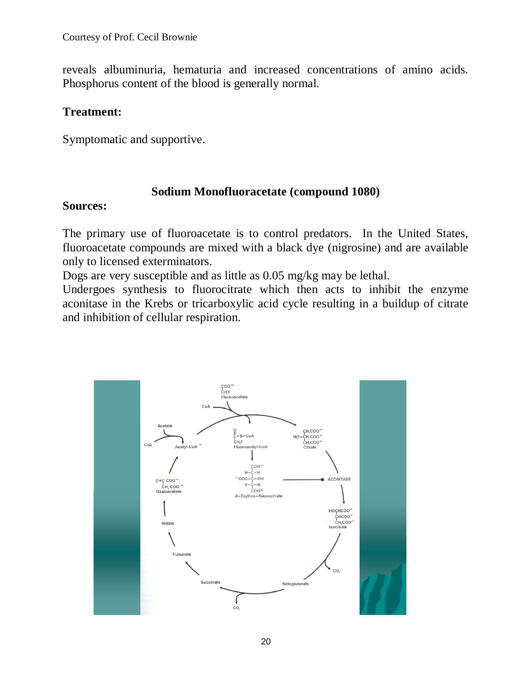reveals albuminuria, hematuria and increased concentrations of amino acids. Phosphorus content of the blood is generally normal.

#### **Treatment:**

Symptomatic and supportive.

### **Sodium Monofluoracetate (compound 1080)**

### **Sources:**

The primary use of fluoroacetate is to control predators. In the United States, fluoroacetate compounds are mixed with a black dye (nigrosine) and are available only to licensed exterminators.

Dogs are very susceptible and as little as 0.05 mg/kg may be lethal.

Undergoes synthesis to fluorocitrate which then acts to inhibit the enzyme aconitase in the Krebs or tricarboxylic acid cycle resulting in a buildup of citrate and inhibition of cellular respiration.

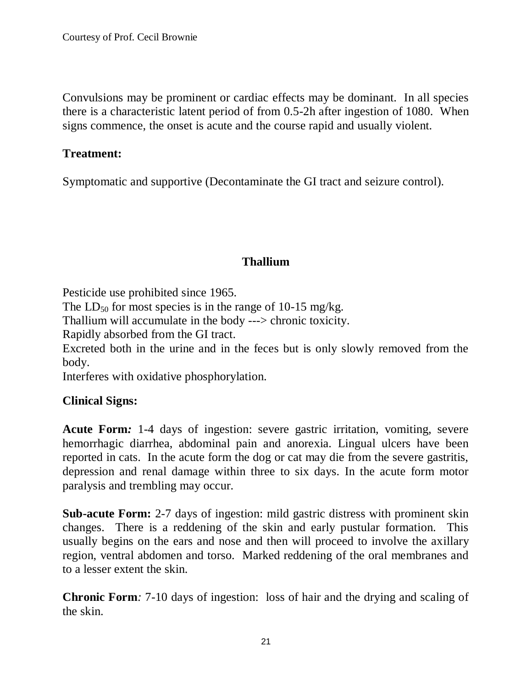Convulsions may be prominent or cardiac effects may be dominant. In all species there is a characteristic latent period of from 0.5-2h after ingestion of 1080. When signs commence, the onset is acute and the course rapid and usually violent.

#### **Treatment:**

Symptomatic and supportive (Decontaminate the GI tract and seizure control).

# **Thallium**

Pesticide use prohibited since 1965.

The LD<sub>50</sub> for most species is in the range of 10-15 mg/kg.

Thallium will accumulate in the body ---> chronic toxicity.

Rapidly absorbed from the GI tract.

Excreted both in the urine and in the feces but is only slowly removed from the body.

Interferes with oxidative phosphorylation.

# **Clinical Signs:**

**Acute Form***:* 1-4 days of ingestion: severe gastric irritation, vomiting, severe hemorrhagic diarrhea, abdominal pain and anorexia. Lingual ulcers have been reported in cats. In the acute form the dog or cat may die from the severe gastritis, depression and renal damage within three to six days. In the acute form motor paralysis and trembling may occur.

**Sub-acute Form:** 2-7 days of ingestion: mild gastric distress with prominent skin changes. There is a reddening of the skin and early pustular formation. This usually begins on the ears and nose and then will proceed to involve the axillary region, ventral abdomen and torso. Marked reddening of the oral membranes and to a lesser extent the skin.

**Chronic Form***:* 7-10 days of ingestion: loss of hair and the drying and scaling of the skin.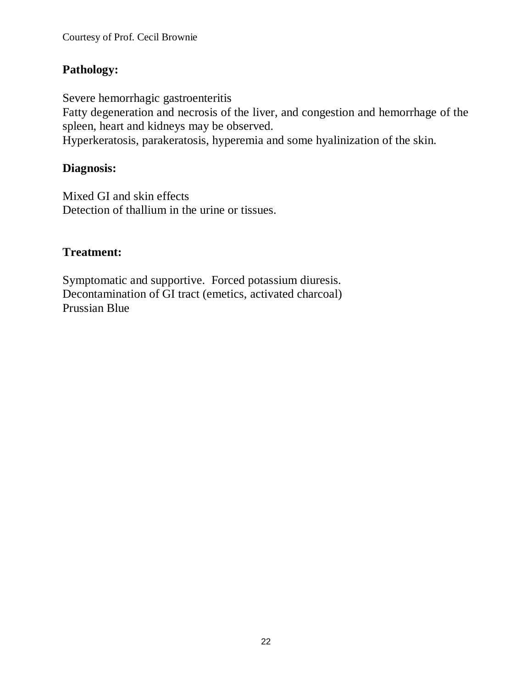# **Pathology:**

Severe hemorrhagic gastroenteritis

Fatty degeneration and necrosis of the liver, and congestion and hemorrhage of the spleen, heart and kidneys may be observed.

Hyperkeratosis, parakeratosis, hyperemia and some hyalinization of the skin.

### **Diagnosis:**

Mixed GI and skin effects Detection of thallium in the urine or tissues.

# **Treatment:**

Symptomatic and supportive. Forced potassium diuresis. Decontamination of GI tract (emetics, activated charcoal) Prussian Blue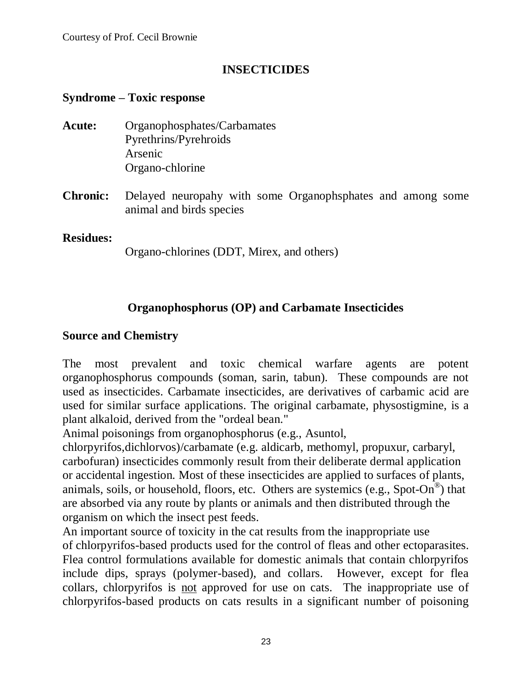# **INSECTICIDES**

### **Syndrome – Toxic response**

- **Acute:** Organophosphates/Carbamates Pyrethrins/Pyrehroids Arsenic Organo-chlorine
- **Chronic:** Delayed neuropahy with some Organophsphates and among some animal and birds species

#### **Residues:**

Organo-chlorines (DDT, Mirex, and others)

# **Organophosphorus (OP) and Carbamate Insecticides**

#### **Source and Chemistry**

The most prevalent and toxic chemical warfare agents are potent organophosphorus compounds (soman, sarin, tabun). These compounds are not used as insecticides. Carbamate insecticides, are derivatives of carbamic acid are used for similar surface applications. The original carbamate, physostigmine, is a plant alkaloid, derived from the "ordeal bean."

Animal poisonings from organophosphorus (e.g., Asuntol,

chlorpyrifos,dichlorvos)/carbamate (e.g. aldicarb, methomyl, propuxur, carbaryl, carbofuran) insecticides commonly result from their deliberate dermal application or accidental ingestion. Most of these insecticides are applied to surfaces of plants, animals, soils, or household, floors, etc. Others are systemics (e.g., Spot-On<sup>®</sup>) that are absorbed via any route by plants or animals and then distributed through the organism on which the insect pest feeds.

An important source of toxicity in the cat results from the inappropriate use of chlorpyrifos-based products used for the control of fleas and other ectoparasites. Flea control formulations available for domestic animals that contain chlorpyrifos include dips, sprays (polymer-based), and collars. However, except for flea collars, chlorpyrifos is not approved for use on cats. The inappropriate use of chlorpyrifos-based products on cats results in a significant number of poisoning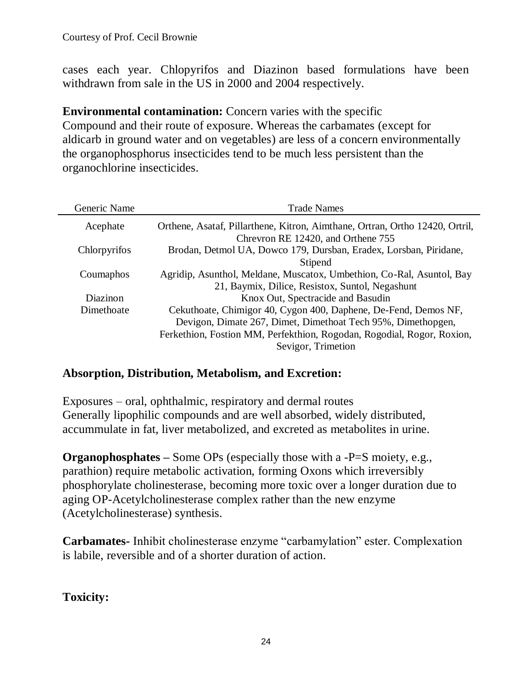cases each year. Chlopyrifos and Diazinon based formulations have been withdrawn from sale in the US in 2000 and 2004 respectively.

**Environmental contamination:** Concern varies with the specific Compound and their route of exposure. Whereas the carbamates (except for aldicarb in ground water and on vegetables) are less of a concern environmentally the organophosphorus insecticides tend to be much less persistent than the organochlorine insecticides.

| Generic Name | <b>Trade Names</b>                                                           |  |
|--------------|------------------------------------------------------------------------------|--|
| Acephate     | Orthene, Asataf, Pillarthene, Kitron, Aimthane, Ortran, Ortho 12420, Ortril, |  |
|              | Chrevron RE 12420, and Orthene 755                                           |  |
| Chlorpyrifos | Brodan, Detmol UA, Dowco 179, Dursban, Eradex, Lorsban, Piridane,            |  |
|              | Stipend                                                                      |  |
| Coumaphos    | Agridip, Asunthol, Meldane, Muscatox, Umbethion, Co-Ral, Asuntol, Bay        |  |
|              | 21, Baymix, Dilice, Resistox, Suntol, Negashunt                              |  |
| Diazinon     | Knox Out, Spectracide and Basudin                                            |  |
| Dimethoate   | Cekuthoate, Chimigor 40, Cygon 400, Daphene, De-Fend, Demos NF,              |  |
|              | Devigon, Dimate 267, Dimet, Dimethoat Tech 95%, Dimethopgen,                 |  |
|              | Ferkethion, Fostion MM, Perfekthion, Rogodan, Rogodial, Rogor, Roxion,       |  |
|              | Sevigor, Trimetion                                                           |  |

# **Absorption, Distribution, Metabolism, and Excretion:**

Exposures – oral, ophthalmic, respiratory and dermal routes Generally lipophilic compounds and are well absorbed, widely distributed, accummulate in fat, liver metabolized, and excreted as metabolites in urine.

**Organophosphates** – Some OPs (especially those with a -P=S moiety, e.g., parathion) require metabolic activation, forming Oxons which irreversibly phosphorylate cholinesterase, becoming more toxic over a longer duration due to aging OP-Acetylcholinesterase complex rather than the new enzyme (Acetylcholinesterase) synthesis.

**Carbamates-** Inhibit cholinesterase enzyme "carbamylation" ester. Complexation is labile, reversible and of a shorter duration of action.

**Toxicity:**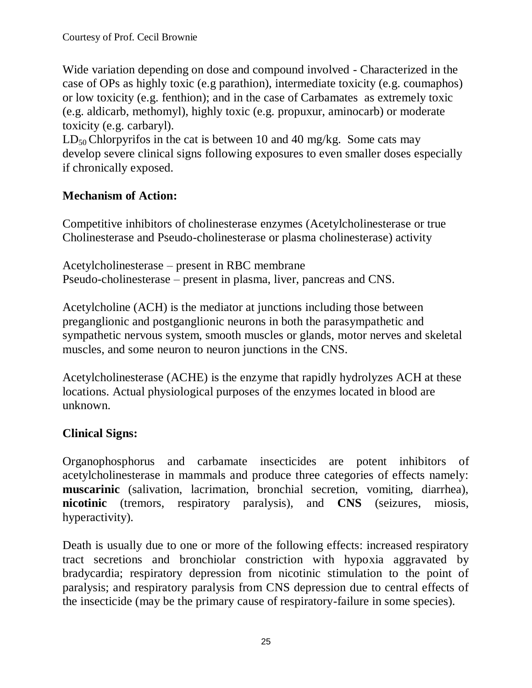Wide variation depending on dose and compound involved - Characterized in the case of OPs as highly toxic (e.g parathion), intermediate toxicity (e.g. coumaphos) or low toxicity (e.g. fenthion); and in the case of Carbamates as extremely toxic (e.g. aldicarb, methomyl), highly toxic (e.g. propuxur, aminocarb) or moderate toxicity (e.g. carbaryl).

 $LD_{50}$  Chlorpyrifos in the cat is between 10 and 40 mg/kg. Some cats may develop severe clinical signs following exposures to even smaller doses especially if chronically exposed.

# **Mechanism of Action:**

Competitive inhibitors of cholinesterase enzymes (Acetylcholinesterase or true Cholinesterase and Pseudo-cholinesterase or plasma cholinesterase) activity

Acetylcholinesterase – present in RBC membrane Pseudo-cholinesterase – present in plasma, liver, pancreas and CNS.

Acetylcholine (ACH) is the mediator at junctions including those between preganglionic and postganglionic neurons in both the parasympathetic and sympathetic nervous system, smooth muscles or glands, motor nerves and skeletal muscles, and some neuron to neuron junctions in the CNS.

Acetylcholinesterase (ACHE) is the enzyme that rapidly hydrolyzes ACH at these locations. Actual physiological purposes of the enzymes located in blood are unknown.

# **Clinical Signs:**

Organophosphorus and carbamate insecticides are potent inhibitors of acetylcholinesterase in mammals and produce three categories of effects namely: **muscarinic** (salivation, lacrimation, bronchial secretion, vomiting, diarrhea), **nicotinic** (tremors, respiratory paralysis), and **CNS** (seizures, miosis, hyperactivity).

Death is usually due to one or more of the following effects: increased respiratory tract secretions and bronchiolar constriction with hypoxia aggravated by bradycardia; respiratory depression from nicotinic stimulation to the point of paralysis; and respiratory paralysis from CNS depression due to central effects of the insecticide (may be the primary cause of respiratory-failure in some species).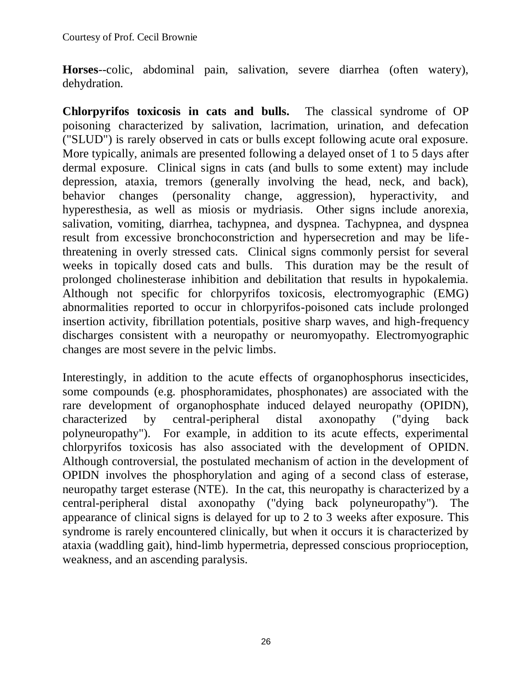**Horses**--colic, abdominal pain, salivation, severe diarrhea (often watery), dehydration.

**Chlorpyrifos toxicosis in cats and bulls.** The classical syndrome of OP poisoning characterized by salivation, lacrimation, urination, and defecation ("SLUD") is rarely observed in cats or bulls except following acute oral exposure. More typically, animals are presented following a delayed onset of 1 to 5 days after dermal exposure. Clinical signs in cats (and bulls to some extent) may include depression, ataxia, tremors (generally involving the head, neck, and back), behavior changes (personality change, aggression), hyperactivity, and hyperesthesia, as well as miosis or mydriasis. Other signs include anorexia, salivation, vomiting, diarrhea, tachypnea, and dyspnea. Tachypnea, and dyspnea result from excessive bronchoconstriction and hypersecretion and may be lifethreatening in overly stressed cats. Clinical signs commonly persist for several weeks in topically dosed cats and bulls. This duration may be the result of prolonged cholinesterase inhibition and debilitation that results in hypokalemia. Although not specific for chlorpyrifos toxicosis, electromyographic (EMG) abnormalities reported to occur in chlorpyrifos-poisoned cats include prolonged insertion activity, fibrillation potentials, positive sharp waves, and high-frequency discharges consistent with a neuropathy or neuromyopathy. Electromyographic changes are most severe in the pelvic limbs.

Interestingly, in addition to the acute effects of organophosphorus insecticides, some compounds (e.g. phosphoramidates, phosphonates) are associated with the rare development of organophosphate induced delayed neuropathy (OPIDN), characterized by central-peripheral distal axonopathy ("dying back polyneuropathy"). For example, in addition to its acute effects, experimental chlorpyrifos toxicosis has also associated with the development of OPIDN. Although controversial, the postulated mechanism of action in the development of OPIDN involves the phosphorylation and aging of a second class of esterase, neuropathy target esterase (NTE). In the cat, this neuropathy is characterized by a central-peripheral distal axonopathy ("dying back polyneuropathy"). The appearance of clinical signs is delayed for up to 2 to 3 weeks after exposure. This syndrome is rarely encountered clinically, but when it occurs it is characterized by ataxia (waddling gait), hind-limb hypermetria, depressed conscious proprioception, weakness, and an ascending paralysis.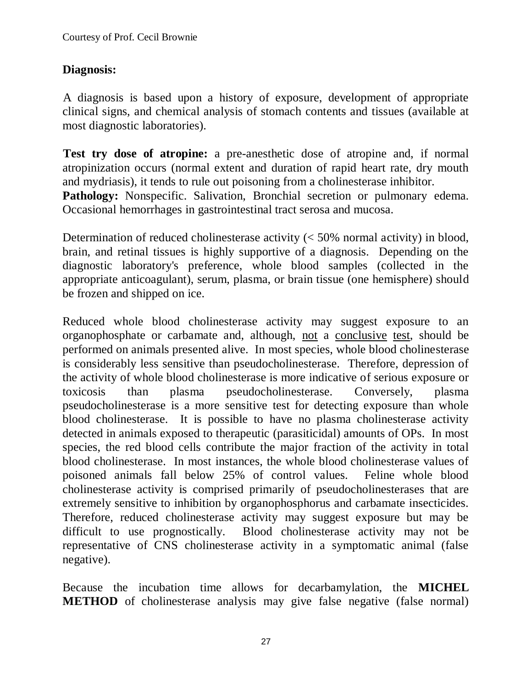# **Diagnosis:**

A diagnosis is based upon a history of exposure, development of appropriate clinical signs, and chemical analysis of stomach contents and tissues (available at most diagnostic laboratories).

**Test try dose of atropine:** a pre-anesthetic dose of atropine and, if normal atropinization occurs (normal extent and duration of rapid heart rate, dry mouth and mydriasis), it tends to rule out poisoning from a cholinesterase inhibitor.

**Pathology:** Nonspecific. Salivation, Bronchial secretion or pulmonary edema. Occasional hemorrhages in gastrointestinal tract serosa and mucosa.

Determination of reduced cholinesterase activity (< 50% normal activity) in blood, brain, and retinal tissues is highly supportive of a diagnosis. Depending on the diagnostic laboratory's preference, whole blood samples (collected in the appropriate anticoagulant), serum, plasma, or brain tissue (one hemisphere) should be frozen and shipped on ice.

Reduced whole blood cholinesterase activity may suggest exposure to an organophosphate or carbamate and, although, not a conclusive test, should be performed on animals presented alive. In most species, whole blood cholinesterase is considerably less sensitive than pseudocholinesterase. Therefore, depression of the activity of whole blood cholinesterase is more indicative of serious exposure or toxicosis than plasma pseudocholinesterase. Conversely, plasma pseudocholinesterase is a more sensitive test for detecting exposure than whole blood cholinesterase. It is possible to have no plasma cholinesterase activity detected in animals exposed to therapeutic (parasiticidal) amounts of OPs. In most species, the red blood cells contribute the major fraction of the activity in total blood cholinesterase. In most instances, the whole blood cholinesterase values of poisoned animals fall below 25% of control values. Feline whole blood cholinesterase activity is comprised primarily of pseudocholinesterases that are extremely sensitive to inhibition by organophosphorus and carbamate insecticides. Therefore, reduced cholinesterase activity may suggest exposure but may be difficult to use prognostically. Blood cholinesterase activity may not be representative of CNS cholinesterase activity in a symptomatic animal (false negative).

Because the incubation time allows for decarbamylation, the **MICHEL METHOD** of cholinesterase analysis may give false negative (false normal)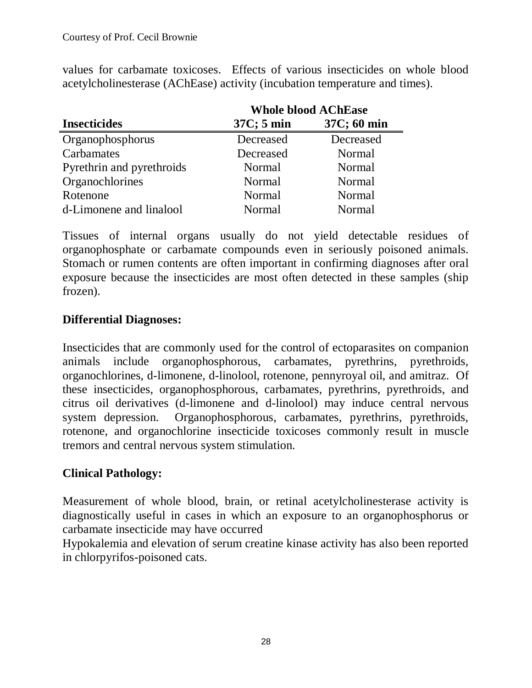values for carbamate toxicoses. Effects of various insecticides on whole blood acetylcholinesterase (AChEase) activity (incubation temperature and times).

|                           | <b>Whole blood AChEase</b> |               |  |
|---------------------------|----------------------------|---------------|--|
| <b>Insecticides</b>       | $37C$ ; 5 min              | 37C; 60 min   |  |
| Organophosphorus          | Decreased                  | Decreased     |  |
| Carbamates                | Decreased                  | Normal        |  |
| Pyrethrin and pyrethroids | Normal                     | Normal        |  |
| Organochlorines           | Normal                     | Normal        |  |
| Rotenone                  | Normal                     | Normal        |  |
| d-Limonene and linalool   | <b>Normal</b>              | <b>Normal</b> |  |

Tissues of internal organs usually do not yield detectable residues of organophosphate or carbamate compounds even in seriously poisoned animals. Stomach or rumen contents are often important in confirming diagnoses after oral exposure because the insecticides are most often detected in these samples (ship frozen).

### **Differential Diagnoses:**

Insecticides that are commonly used for the control of ectoparasites on companion animals include organophosphorous, carbamates, pyrethrins, pyrethroids, organochlorines, d-limonene, d-linolool, rotenone, pennyroyal oil, and amitraz. Of these insecticides, organophosphorous, carbamates, pyrethrins, pyrethroids, and citrus oil derivatives (d-limonene and d-linolool) may induce central nervous system depression. Organophosphorous, carbamates, pyrethrins, pyrethroids, rotenone, and organochlorine insecticide toxicoses commonly result in muscle tremors and central nervous system stimulation.

#### **Clinical Pathology:**

Measurement of whole blood, brain, or retinal acetylcholinesterase activity is diagnostically useful in cases in which an exposure to an organophosphorus or carbamate insecticide may have occurred

Hypokalemia and elevation of serum creatine kinase activity has also been reported in chlorpyrifos-poisoned cats.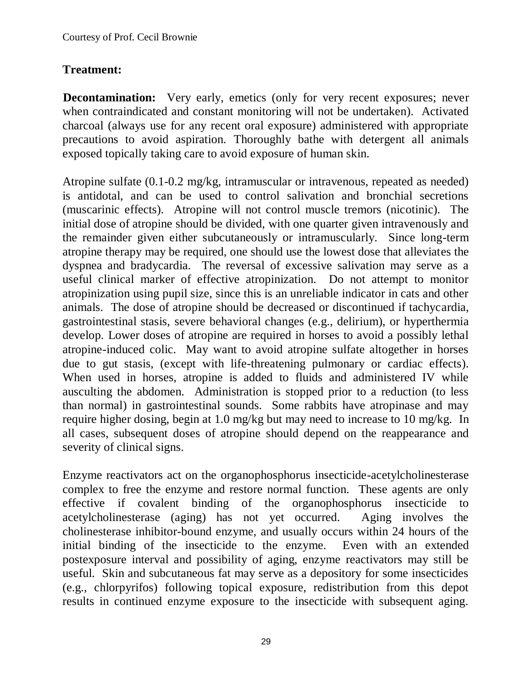# **Treatment:**

**Decontamination:** Very early, emetics (only for very recent exposures; never when contraindicated and constant monitoring will not be undertaken). Activated charcoal (always use for any recent oral exposure) administered with appropriate precautions to avoid aspiration. Thoroughly bathe with detergent all animals exposed topically taking care to avoid exposure of human skin.

Atropine sulfate (0.1-0.2 mg/kg, intramuscular or intravenous, repeated as needed) is antidotal, and can be used to control salivation and bronchial secretions (muscarinic effects). Atropine will not control muscle tremors (nicotinic). The initial dose of atropine should be divided, with one quarter given intravenously and the remainder given either subcutaneously or intramuscularly. Since long-term atropine therapy may be required, one should use the lowest dose that alleviates the dyspnea and bradycardia. The reversal of excessive salivation may serve as a useful clinical marker of effective atropinization. Do not attempt to monitor atropinization using pupil size, since this is an unreliable indicator in cats and other animals. The dose of atropine should be decreased or discontinued if tachycardia, gastrointestinal stasis, severe behavioral changes (e.g., delirium), or hyperthermia develop. Lower doses of atropine are required in horses to avoid a possibly lethal atropine-induced colic. May want to avoid atropine sulfate altogether in horses due to gut stasis, (except with life-threatening pulmonary or cardiac effects). When used in horses, atropine is added to fluids and administered IV while ausculting the abdomen. Administration is stopped prior to a reduction (to less than normal) in gastrointestinal sounds. Some rabbits have atropinase and may require higher dosing, begin at 1.0 mg/kg but may need to increase to 10 mg/kg. In all cases, subsequent doses of atropine should depend on the reappearance and severity of clinical signs.

Enzyme reactivators act on the organophosphorus insecticide-acetylcholinesterase complex to free the enzyme and restore normal function. These agents are only effective if covalent binding of the organophosphorus insecticide to acetylcholinesterase (aging) has not yet occurred. Aging involves the cholinesterase inhibitor-bound enzyme, and usually occurs within 24 hours of the initial binding of the insecticide to the enzyme. Even with an extended postexposure interval and possibility of aging, enzyme reactivators may still be useful. Skin and subcutaneous fat may serve as a depository for some insecticides (e.g., chlorpyrifos) following topical exposure, redistribution from this depot results in continued enzyme exposure to the insecticide with subsequent aging.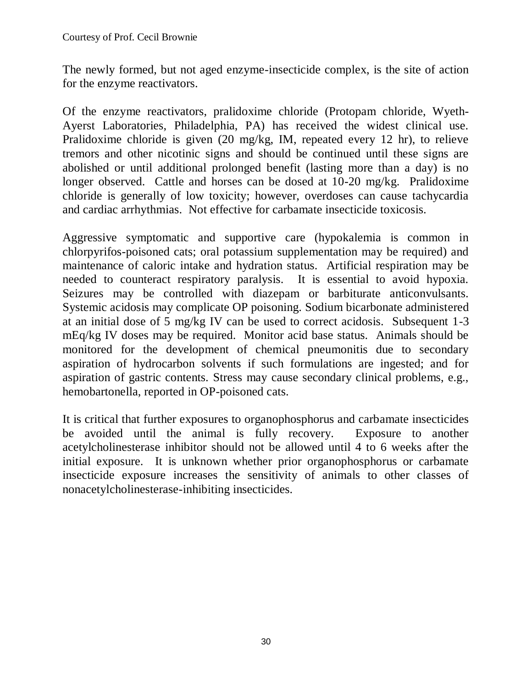The newly formed, but not aged enzyme-insecticide complex, is the site of action for the enzyme reactivators.

Of the enzyme reactivators, pralidoxime chloride (Protopam chloride, Wyeth-Ayerst Laboratories, Philadelphia, PA) has received the widest clinical use. Pralidoxime chloride is given (20 mg/kg, IM, repeated every 12 hr), to relieve tremors and other nicotinic signs and should be continued until these signs are abolished or until additional prolonged benefit (lasting more than a day) is no longer observed. Cattle and horses can be dosed at 10-20 mg/kg. Pralidoxime chloride is generally of low toxicity; however, overdoses can cause tachycardia and cardiac arrhythmias. Not effective for carbamate insecticide toxicosis.

Aggressive symptomatic and supportive care (hypokalemia is common in chlorpyrifos-poisoned cats; oral potassium supplementation may be required) and maintenance of caloric intake and hydration status. Artificial respiration may be needed to counteract respiratory paralysis. It is essential to avoid hypoxia. Seizures may be controlled with diazepam or barbiturate anticonvulsants. Systemic acidosis may complicate OP poisoning. Sodium bicarbonate administered at an initial dose of 5 mg/kg IV can be used to correct acidosis. Subsequent 1-3 mEq/kg IV doses may be required. Monitor acid base status. Animals should be monitored for the development of chemical pneumonitis due to secondary aspiration of hydrocarbon solvents if such formulations are ingested; and for aspiration of gastric contents. Stress may cause secondary clinical problems, e.g., hemobartonella, reported in OP-poisoned cats.

It is critical that further exposures to organophosphorus and carbamate insecticides be avoided until the animal is fully recovery. Exposure to another acetylcholinesterase inhibitor should not be allowed until 4 to 6 weeks after the initial exposure. It is unknown whether prior organophosphorus or carbamate insecticide exposure increases the sensitivity of animals to other classes of nonacetylcholinesterase-inhibiting insecticides.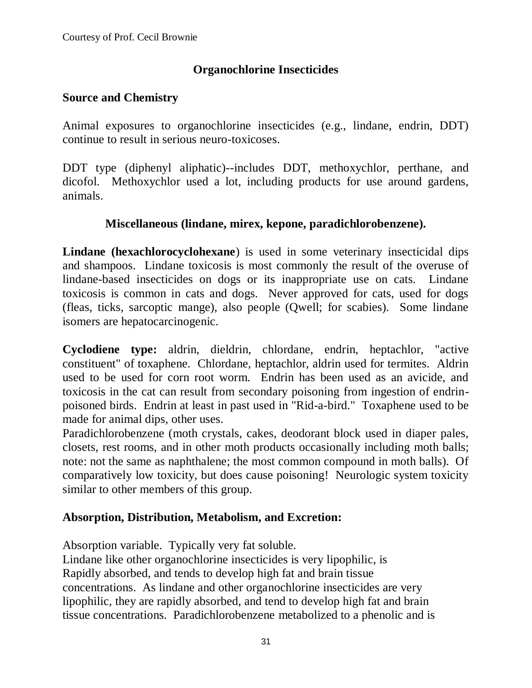# **Organochlorine Insecticides**

### **Source and Chemistry**

Animal exposures to organochlorine insecticides (e.g., lindane, endrin, DDT) continue to result in serious neuro-toxicoses.

DDT type (diphenyl aliphatic)--includes DDT, methoxychlor, perthane, and dicofol. Methoxychlor used a lot, including products for use around gardens, animals.

### **Miscellaneous (lindane, mirex, kepone, paradichlorobenzene).**

**Lindane (hexachlorocyclohexane**) is used in some veterinary insecticidal dips and shampoos. Lindane toxicosis is most commonly the result of the overuse of lindane-based insecticides on dogs or its inappropriate use on cats. Lindane toxicosis is common in cats and dogs. Never approved for cats, used for dogs (fleas, ticks, sarcoptic mange), also people (Qwell; for scabies). Some lindane isomers are hepatocarcinogenic.

**Cyclodiene type:** aldrin, dieldrin, chlordane, endrin, heptachlor, "active constituent" of toxaphene. Chlordane, heptachlor, aldrin used for termites. Aldrin used to be used for corn root worm. Endrin has been used as an avicide, and toxicosis in the cat can result from secondary poisoning from ingestion of endrinpoisoned birds. Endrin at least in past used in "Rid-a-bird." Toxaphene used to be made for animal dips, other uses.

Paradichlorobenzene (moth crystals, cakes, deodorant block used in diaper pales, closets, rest rooms, and in other moth products occasionally including moth balls; note: not the same as naphthalene; the most common compound in moth balls). Of comparatively low toxicity, but does cause poisoning! Neurologic system toxicity similar to other members of this group.

# **Absorption, Distribution, Metabolism, and Excretion:**

Absorption variable. Typically very fat soluble.

Lindane like other organochlorine insecticides is very lipophilic, is Rapidly absorbed, and tends to develop high fat and brain tissue concentrations. As lindane and other organochlorine insecticides are very lipophilic, they are rapidly absorbed, and tend to develop high fat and brain tissue concentrations. Paradichlorobenzene metabolized to a phenolic and is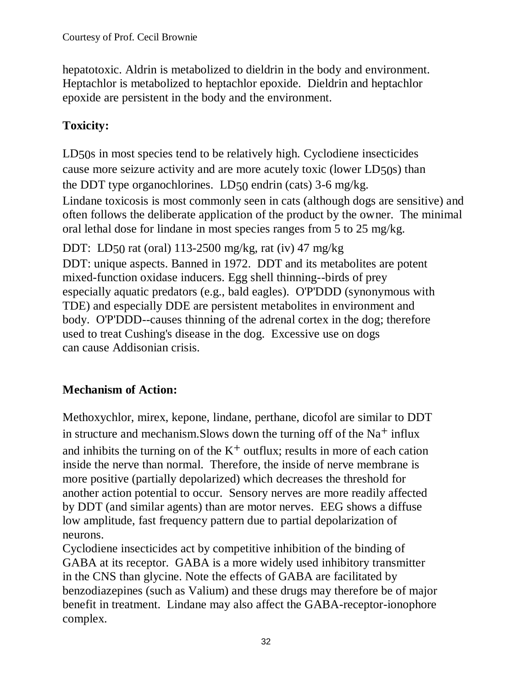hepatotoxic. Aldrin is metabolized to dieldrin in the body and environment. Heptachlor is metabolized to heptachlor epoxide. Dieldrin and heptachlor epoxide are persistent in the body and the environment.

# **Toxicity:**

LD50s in most species tend to be relatively high. Cyclodiene insecticides cause more seizure activity and are more acutely toxic (lower LD50s) than the DDT type organochlorines. LD50 endrin (cats) 3-6 mg/kg. Lindane toxicosis is most commonly seen in cats (although dogs are sensitive) and often follows the deliberate application of the product by the owner. The minimal oral lethal dose for lindane in most species ranges from 5 to 25 mg/kg.

DDT: LD50 rat (oral) 113-2500 mg/kg, rat (iv) 47 mg/kg DDT: unique aspects. Banned in 1972. DDT and its metabolites are potent mixed-function oxidase inducers. Egg shell thinning--birds of prey especially aquatic predators (e.g., bald eagles). O'P'DDD (synonymous with TDE) and especially DDE are persistent metabolites in environment and body. O'P'DDD--causes thinning of the adrenal cortex in the dog; therefore used to treat Cushing's disease in the dog. Excessive use on dogs can cause Addisonian crisis.

# **Mechanism of Action:**

Methoxychlor, mirex, kepone, lindane, perthane, dicofol are similar to DDT in structure and mechanism. Slows down the turning off of the  $Na<sup>+</sup>$  influx and inhibits the turning on of the  $K^+$  outflux; results in more of each cation inside the nerve than normal. Therefore, the inside of nerve membrane is more positive (partially depolarized) which decreases the threshold for another action potential to occur. Sensory nerves are more readily affected by DDT (and similar agents) than are motor nerves. EEG shows a diffuse low amplitude, fast frequency pattern due to partial depolarization of neurons.

Cyclodiene insecticides act by competitive inhibition of the binding of GABA at its receptor. GABA is a more widely used inhibitory transmitter in the CNS than glycine. Note the effects of GABA are facilitated by benzodiazepines (such as Valium) and these drugs may therefore be of major benefit in treatment. Lindane may also affect the GABA-receptor-ionophore complex.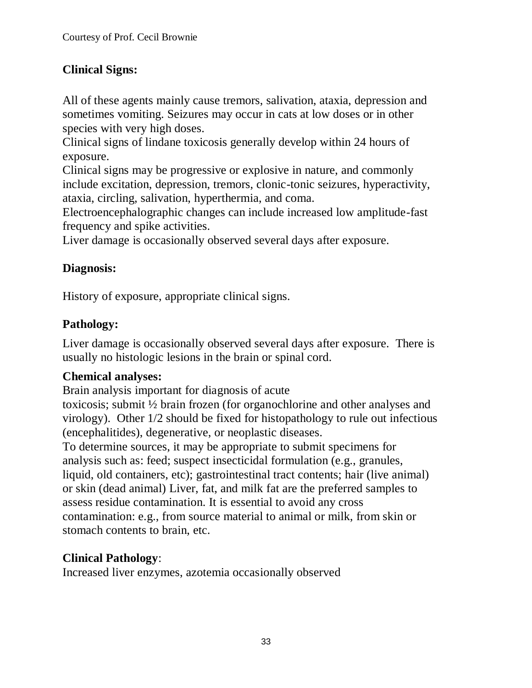# **Clinical Signs:**

All of these agents mainly cause tremors, salivation, ataxia, depression and sometimes vomiting. Seizures may occur in cats at low doses or in other species with very high doses.

Clinical signs of lindane toxicosis generally develop within 24 hours of exposure.

Clinical signs may be progressive or explosive in nature, and commonly include excitation, depression, tremors, clonic-tonic seizures, hyperactivity, ataxia, circling, salivation, hyperthermia, and coma.

Electroencephalographic changes can include increased low amplitude-fast frequency and spike activities.

Liver damage is occasionally observed several days after exposure.

# **Diagnosis:**

History of exposure, appropriate clinical signs.

# **Pathology:**

Liver damage is occasionally observed several days after exposure. There is usually no histologic lesions in the brain or spinal cord.

# **Chemical analyses:**

Brain analysis important for diagnosis of acute

toxicosis; submit ½ brain frozen (for organochlorine and other analyses and virology). Other 1/2 should be fixed for histopathology to rule out infectious (encephalitides), degenerative, or neoplastic diseases.

To determine sources, it may be appropriate to submit specimens for analysis such as: feed; suspect insecticidal formulation (e.g., granules, liquid, old containers, etc); gastrointestinal tract contents; hair (live animal) or skin (dead animal) Liver, fat, and milk fat are the preferred samples to assess residue contamination. It is essential to avoid any cross contamination: e.g., from source material to animal or milk, from skin or stomach contents to brain, etc.

# **Clinical Pathology**:

Increased liver enzymes, azotemia occasionally observed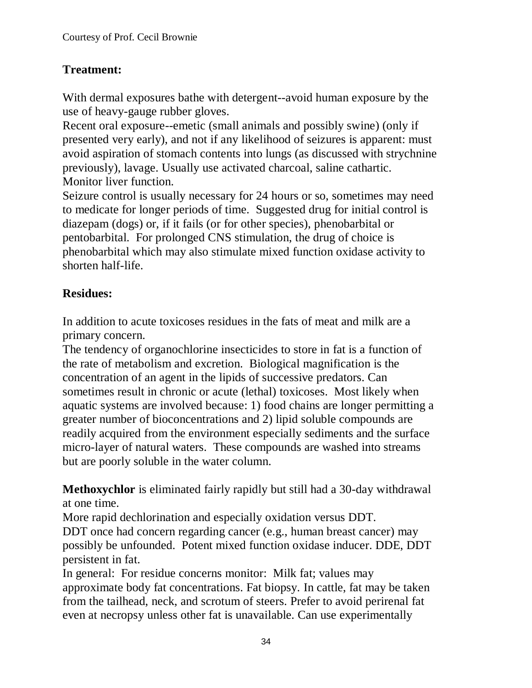# **Treatment:**

With dermal exposures bathe with detergent--avoid human exposure by the use of heavy-gauge rubber gloves.

Recent oral exposure--emetic (small animals and possibly swine) (only if presented very early), and not if any likelihood of seizures is apparent: must avoid aspiration of stomach contents into lungs (as discussed with strychnine previously), lavage. Usually use activated charcoal, saline cathartic. Monitor liver function.

Seizure control is usually necessary for 24 hours or so, sometimes may need to medicate for longer periods of time. Suggested drug for initial control is diazepam (dogs) or, if it fails (or for other species), phenobarbital or pentobarbital. For prolonged CNS stimulation, the drug of choice is phenobarbital which may also stimulate mixed function oxidase activity to shorten half-life.

# **Residues:**

In addition to acute toxicoses residues in the fats of meat and milk are a primary concern.

The tendency of organochlorine insecticides to store in fat is a function of the rate of metabolism and excretion. Biological magnification is the concentration of an agent in the lipids of successive predators. Can sometimes result in chronic or acute (lethal) toxicoses. Most likely when aquatic systems are involved because: 1) food chains are longer permitting a greater number of bioconcentrations and 2) lipid soluble compounds are readily acquired from the environment especially sediments and the surface micro-layer of natural waters. These compounds are washed into streams but are poorly soluble in the water column.

**Methoxychlor** is eliminated fairly rapidly but still had a 30-day withdrawal at one time.

More rapid dechlorination and especially oxidation versus DDT.

DDT once had concern regarding cancer (e.g., human breast cancer) may possibly be unfounded. Potent mixed function oxidase inducer. DDE, DDT persistent in fat.

In general: For residue concerns monitor: Milk fat; values may approximate body fat concentrations. Fat biopsy. In cattle, fat may be taken from the tailhead, neck, and scrotum of steers. Prefer to avoid perirenal fat even at necropsy unless other fat is unavailable. Can use experimentally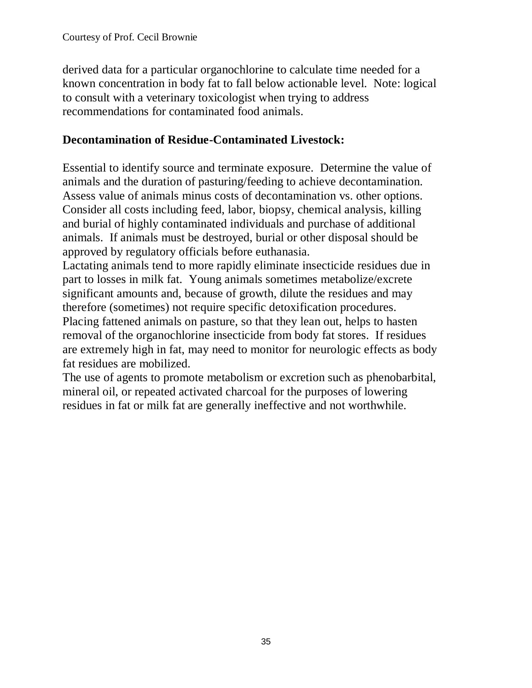derived data for a particular organochlorine to calculate time needed for a known concentration in body fat to fall below actionable level. Note: logical to consult with a veterinary toxicologist when trying to address recommendations for contaminated food animals.

### **Decontamination of Residue-Contaminated Livestock:**

Essential to identify source and terminate exposure. Determine the value of animals and the duration of pasturing/feeding to achieve decontamination. Assess value of animals minus costs of decontamination vs. other options. Consider all costs including feed, labor, biopsy, chemical analysis, killing and burial of highly contaminated individuals and purchase of additional animals. If animals must be destroyed, burial or other disposal should be approved by regulatory officials before euthanasia.

Lactating animals tend to more rapidly eliminate insecticide residues due in part to losses in milk fat. Young animals sometimes metabolize/excrete significant amounts and, because of growth, dilute the residues and may therefore (sometimes) not require specific detoxification procedures.

Placing fattened animals on pasture, so that they lean out, helps to hasten removal of the organochlorine insecticide from body fat stores. If residues are extremely high in fat, may need to monitor for neurologic effects as body fat residues are mobilized.

The use of agents to promote metabolism or excretion such as phenobarbital, mineral oil, or repeated activated charcoal for the purposes of lowering residues in fat or milk fat are generally ineffective and not worthwhile.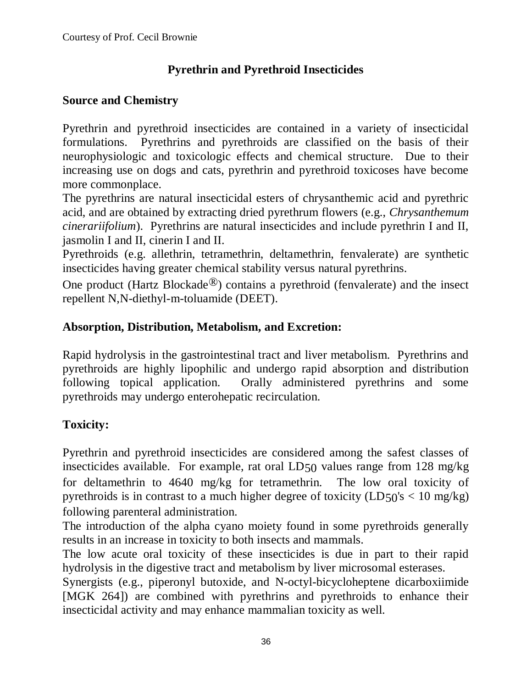# **Pyrethrin and Pyrethroid Insecticides**

# **Source and Chemistry**

Pyrethrin and pyrethroid insecticides are contained in a variety of insecticidal formulations. Pyrethrins and pyrethroids are classified on the basis of their neurophysiologic and toxicologic effects and chemical structure. Due to their increasing use on dogs and cats, pyrethrin and pyrethroid toxicoses have become more commonplace.

The pyrethrins are natural insecticidal esters of chrysanthemic acid and pyrethric acid, and are obtained by extracting dried pyrethrum flowers (e.g., *Chrysanthemum cinerariifolium*). Pyrethrins are natural insecticides and include pyrethrin I and II, jasmolin I and II, cinerin I and II.

Pyrethroids (e.g. allethrin, tetramethrin, deltamethrin, fenvalerate) are synthetic insecticides having greater chemical stability versus natural pyrethrins.

One product (Hartz Blockade<sup>®</sup>) contains a pyrethroid (fenvalerate) and the insect repellent N,N-diethyl-m-toluamide (DEET).

# **Absorption, Distribution, Metabolism, and Excretion:**

Rapid hydrolysis in the gastrointestinal tract and liver metabolism. Pyrethrins and pyrethroids are highly lipophilic and undergo rapid absorption and distribution following topical application. Orally administered pyrethrins and some pyrethroids may undergo enterohepatic recirculation.

# **Toxicity:**

Pyrethrin and pyrethroid insecticides are considered among the safest classes of insecticides available. For example, rat oral LD50 values range from 128 mg/kg for deltamethrin to 4640 mg/kg for tetramethrin. The low oral toxicity of pyrethroids is in contrast to a much higher degree of toxicity  $(LD50's < 10 \text{ mg/kg})$ following parenteral administration.

The introduction of the alpha cyano moiety found in some pyrethroids generally results in an increase in toxicity to both insects and mammals.

The low acute oral toxicity of these insecticides is due in part to their rapid hydrolysis in the digestive tract and metabolism by liver microsomal esterases.

Synergists (e.g., piperonyl butoxide, and N-octyl-bicycloheptene dicarboxiimide [MGK 264]) are combined with pyrethrins and pyrethroids to enhance their insecticidal activity and may enhance mammalian toxicity as well.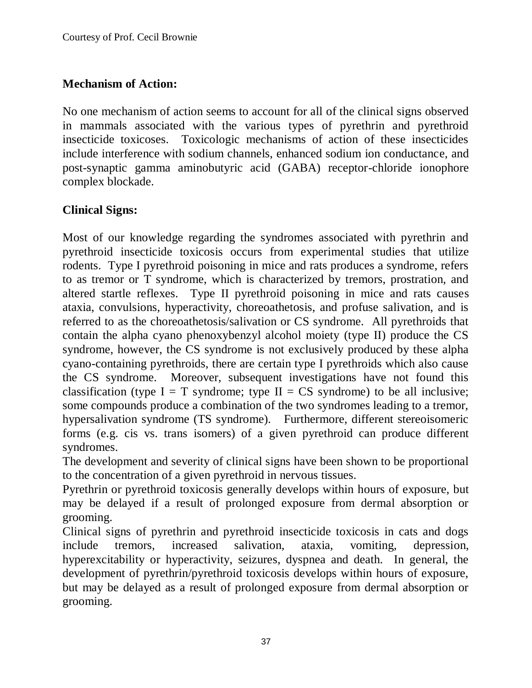# **Mechanism of Action:**

No one mechanism of action seems to account for all of the clinical signs observed in mammals associated with the various types of pyrethrin and pyrethroid insecticide toxicoses. Toxicologic mechanisms of action of these insecticides include interference with sodium channels, enhanced sodium ion conductance, and post-synaptic gamma aminobutyric acid (GABA) receptor-chloride ionophore complex blockade.

# **Clinical Signs:**

Most of our knowledge regarding the syndromes associated with pyrethrin and pyrethroid insecticide toxicosis occurs from experimental studies that utilize rodents. Type I pyrethroid poisoning in mice and rats produces a syndrome, refers to as tremor or T syndrome, which is characterized by tremors, prostration, and altered startle reflexes. Type II pyrethroid poisoning in mice and rats causes ataxia, convulsions, hyperactivity, choreoathetosis, and profuse salivation, and is referred to as the choreoathetosis/salivation or CS syndrome. All pyrethroids that contain the alpha cyano phenoxybenzyl alcohol moiety (type II) produce the CS syndrome, however, the CS syndrome is not exclusively produced by these alpha cyano-containing pyrethroids, there are certain type I pyrethroids which also cause the CS syndrome. Moreover, subsequent investigations have not found this classification (type  $I = T$  syndrome; type  $II = CS$  syndrome) to be all inclusive; some compounds produce a combination of the two syndromes leading to a tremor, hypersalivation syndrome (TS syndrome). Furthermore, different stereoisomeric forms (e.g. cis vs. trans isomers) of a given pyrethroid can produce different syndromes.

The development and severity of clinical signs have been shown to be proportional to the concentration of a given pyrethroid in nervous tissues.

Pyrethrin or pyrethroid toxicosis generally develops within hours of exposure, but may be delayed if a result of prolonged exposure from dermal absorption or grooming.

Clinical signs of pyrethrin and pyrethroid insecticide toxicosis in cats and dogs include tremors, increased salivation, ataxia, vomiting, depression, hyperexcitability or hyperactivity, seizures, dyspnea and death. In general, the development of pyrethrin/pyrethroid toxicosis develops within hours of exposure, but may be delayed as a result of prolonged exposure from dermal absorption or grooming.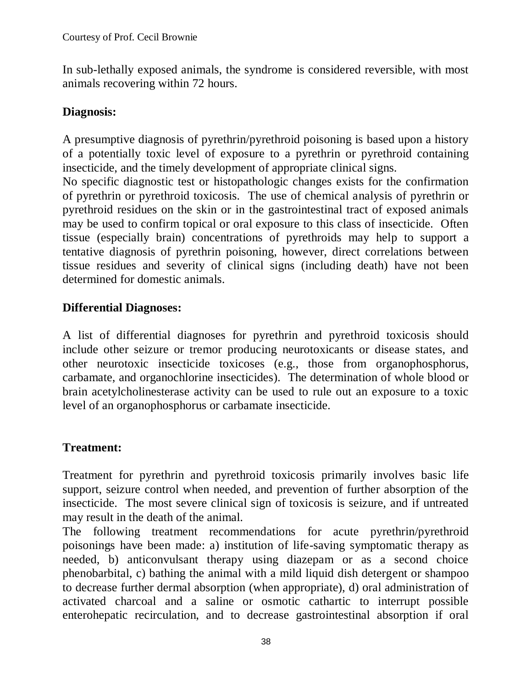In sub-lethally exposed animals, the syndrome is considered reversible, with most animals recovering within 72 hours.

#### **Diagnosis:**

A presumptive diagnosis of pyrethrin/pyrethroid poisoning is based upon a history of a potentially toxic level of exposure to a pyrethrin or pyrethroid containing insecticide, and the timely development of appropriate clinical signs.

No specific diagnostic test or histopathologic changes exists for the confirmation of pyrethrin or pyrethroid toxicosis. The use of chemical analysis of pyrethrin or pyrethroid residues on the skin or in the gastrointestinal tract of exposed animals may be used to confirm topical or oral exposure to this class of insecticide. Often tissue (especially brain) concentrations of pyrethroids may help to support a tentative diagnosis of pyrethrin poisoning, however, direct correlations between tissue residues and severity of clinical signs (including death) have not been determined for domestic animals.

# **Differential Diagnoses:**

A list of differential diagnoses for pyrethrin and pyrethroid toxicosis should include other seizure or tremor producing neurotoxicants or disease states, and other neurotoxic insecticide toxicoses (e.g., those from organophosphorus, carbamate, and organochlorine insecticides). The determination of whole blood or brain acetylcholinesterase activity can be used to rule out an exposure to a toxic level of an organophosphorus or carbamate insecticide.

# **Treatment:**

Treatment for pyrethrin and pyrethroid toxicosis primarily involves basic life support, seizure control when needed, and prevention of further absorption of the insecticide. The most severe clinical sign of toxicosis is seizure, and if untreated may result in the death of the animal.

The following treatment recommendations for acute pyrethrin/pyrethroid poisonings have been made: a) institution of life-saving symptomatic therapy as needed, b) anticonvulsant therapy using diazepam or as a second choice phenobarbital, c) bathing the animal with a mild liquid dish detergent or shampoo to decrease further dermal absorption (when appropriate), d) oral administration of activated charcoal and a saline or osmotic cathartic to interrupt possible enterohepatic recirculation, and to decrease gastrointestinal absorption if oral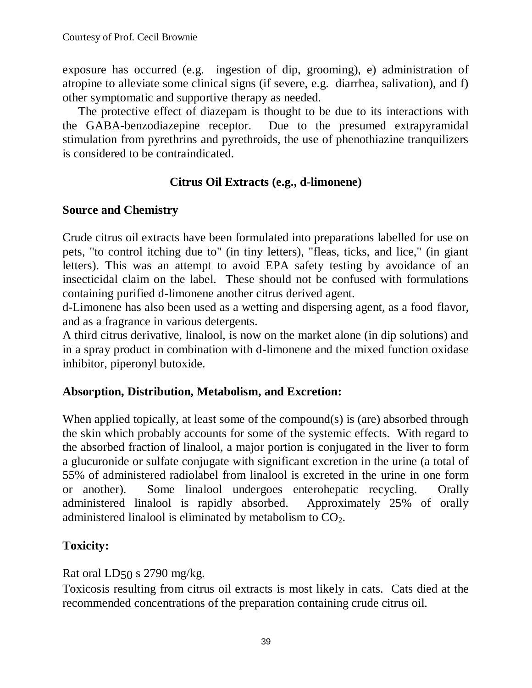exposure has occurred (e.g. ingestion of dip, grooming), e) administration of atropine to alleviate some clinical signs (if severe, e.g. diarrhea, salivation), and f) other symptomatic and supportive therapy as needed.

The protective effect of diazepam is thought to be due to its interactions with the GABA-benzodiazepine receptor. Due to the presumed extrapyramidal stimulation from pyrethrins and pyrethroids, the use of phenothiazine tranquilizers is considered to be contraindicated.

### **Citrus Oil Extracts (e.g., d-limonene)**

#### **Source and Chemistry**

Crude citrus oil extracts have been formulated into preparations labelled for use on pets, "to control itching due to" (in tiny letters), "fleas, ticks, and lice," (in giant letters). This was an attempt to avoid EPA safety testing by avoidance of an insecticidal claim on the label. These should not be confused with formulations containing purified d-limonene another citrus derived agent.

d-Limonene has also been used as a wetting and dispersing agent, as a food flavor, and as a fragrance in various detergents.

A third citrus derivative, linalool, is now on the market alone (in dip solutions) and in a spray product in combination with d-limonene and the mixed function oxidase inhibitor, piperonyl butoxide.

#### **Absorption, Distribution, Metabolism, and Excretion:**

When applied topically, at least some of the compound(s) is (are) absorbed through the skin which probably accounts for some of the systemic effects. With regard to the absorbed fraction of linalool, a major portion is conjugated in the liver to form a glucuronide or sulfate conjugate with significant excretion in the urine (a total of 55% of administered radiolabel from linalool is excreted in the urine in one form or another). Some linalool undergoes enterohepatic recycling. Orally administered linalool is rapidly absorbed. Approximately 25% of orally administered linalool is eliminated by metabolism to  $CO<sub>2</sub>$ .

# **Toxicity:**

Rat oral LD50 s 2790 mg/kg.

Toxicosis resulting from citrus oil extracts is most likely in cats. Cats died at the recommended concentrations of the preparation containing crude citrus oil.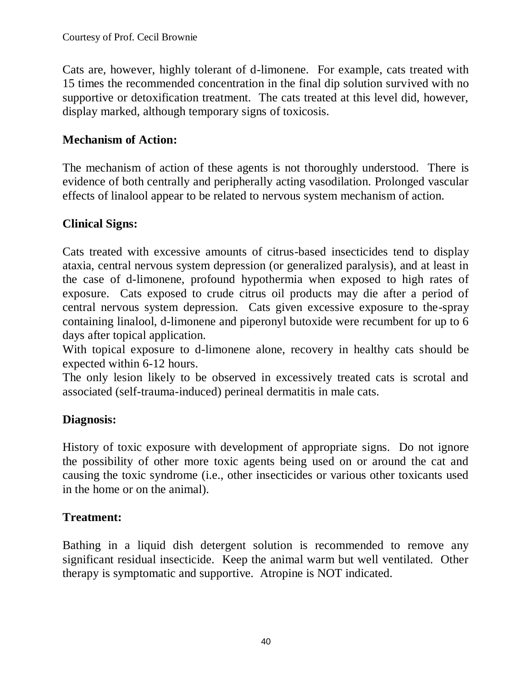Cats are, however, highly tolerant of d-limonene. For example, cats treated with 15 times the recommended concentration in the final dip solution survived with no supportive or detoxification treatment. The cats treated at this level did, however, display marked, although temporary signs of toxicosis.

# **Mechanism of Action:**

The mechanism of action of these agents is not thoroughly understood. There is evidence of both centrally and peripherally acting vasodilation. Prolonged vascular effects of linalool appear to be related to nervous system mechanism of action.

# **Clinical Signs:**

Cats treated with excessive amounts of citrus-based insecticides tend to display ataxia, central nervous system depression (or generalized paralysis), and at least in the case of d-limonene, profound hypothermia when exposed to high rates of exposure. Cats exposed to crude citrus oil products may die after a period of central nervous system depression. Cats given excessive exposure to the-spray containing linalool, d-limonene and piperonyl butoxide were recumbent for up to 6 days after topical application.

With topical exposure to d-limonene alone, recovery in healthy cats should be expected within 6-12 hours.

The only lesion likely to be observed in excessively treated cats is scrotal and associated (self-trauma-induced) perineal dermatitis in male cats.

# **Diagnosis:**

History of toxic exposure with development of appropriate signs. Do not ignore the possibility of other more toxic agents being used on or around the cat and causing the toxic syndrome (i.e., other insecticides or various other toxicants used in the home or on the animal).

# **Treatment:**

Bathing in a liquid dish detergent solution is recommended to remove any significant residual insecticide. Keep the animal warm but well ventilated. Other therapy is symptomatic and supportive. Atropine is NOT indicated.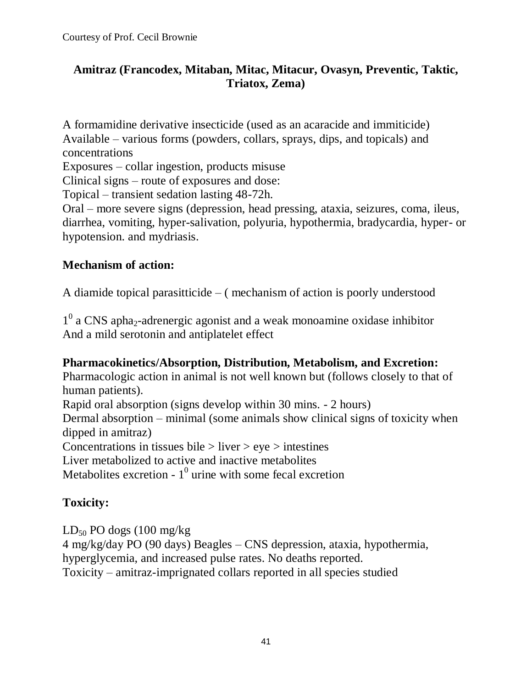# **Amitraz (Francodex, Mitaban, Mitac, Mitacur, Ovasyn, Preventic, Taktic, Triatox, Zema)**

A formamidine derivative insecticide (used as an acaracide and immiticide) Available – various forms (powders, collars, sprays, dips, and topicals) and concentrations

Exposures – collar ingestion, products misuse

Clinical signs – route of exposures and dose:

Topical – transient sedation lasting 48-72h.

Oral – more severe signs (depression, head pressing, ataxia, seizures, coma, ileus, diarrhea, vomiting, hyper-salivation, polyuria, hypothermia, bradycardia, hyper- or hypotension. and mydriasis.

### **Mechanism of action:**

A diamide topical parasitticide – ( mechanism of action is poorly understood

1<sup>0</sup> a CNS apha<sub>2</sub>-adrenergic agonist and a weak monoamine oxidase inhibitor And a mild serotonin and antiplatelet effect

#### **Pharmacokinetics/Absorption, Distribution, Metabolism, and Excretion:**

Pharmacologic action in animal is not well known but (follows closely to that of human patients).

Rapid oral absorption (signs develop within 30 mins. - 2 hours)

Dermal absorption – minimal (some animals show clinical signs of toxicity when dipped in amitraz)

Concentrations in tissues bile  $>$  liver  $>$  eye  $>$  intestines

Liver metabolized to active and inactive metabolites

Metabolites excretion -  $1^0$  urine with some fecal excretion

# **Toxicity:**

 $LD_{50}$  PO dogs (100 mg/kg) 4 mg/kg/day PO (90 days) Beagles – CNS depression, ataxia, hypothermia, hyperglycemia, and increased pulse rates. No deaths reported. Toxicity – amitraz-imprignated collars reported in all species studied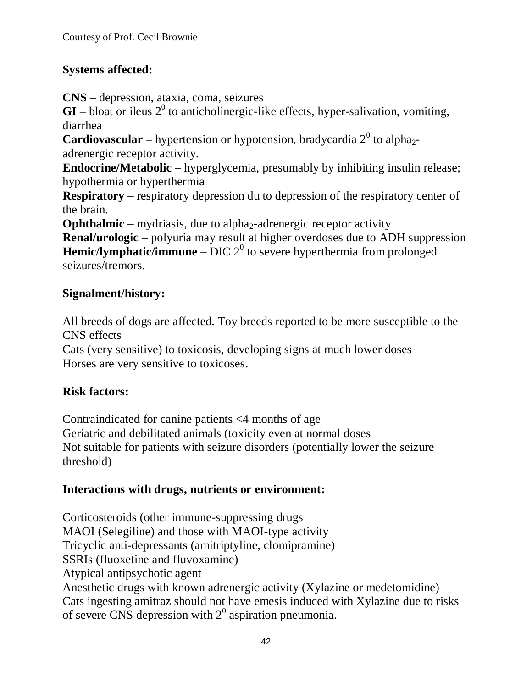# **Systems affected:**

**CNS –** depression, ataxia, coma, seizures

 $GI$  – bloat or ileus  $2^0$  to anticholinergic-like effects, hyper-salivation, vomiting, diarrhea

**Cardiovascular** – hypertension or hypotension, bradycardia  $2^0$  to alpha<sub>2</sub>adrenergic receptor activity.

**Endocrine/Metabolic –** hyperglycemia, presumably by inhibiting insulin release; hypothermia or hyperthermia

**Respiratory –** respiratory depression du to depression of the respiratory center of the brain.

**Ophthalmic –** mydriasis, due to alpha<sub>2</sub>-adrenergic receptor activity

**Renal/urologic –** polyuria may result at higher overdoses due to ADH suppression **Hemic/lymphatic/immune** – DIC  $2^0$  to severe hyperthermia from prolonged seizures/tremors.

# **Signalment/history:**

All breeds of dogs are affected. Toy breeds reported to be more susceptible to the CNS effects

Cats (very sensitive) to toxicosis, developing signs at much lower doses Horses are very sensitive to toxicoses.

# **Risk factors:**

Contraindicated for canine patients <4 months of age Geriatric and debilitated animals (toxicity even at normal doses Not suitable for patients with seizure disorders (potentially lower the seizure threshold)

# **Interactions with drugs, nutrients or environment:**

Corticosteroids (other immune-suppressing drugs MAOI (Selegiline) and those with MAOI-type activity Tricyclic anti-depressants (amitriptyline, clomipramine) SSRIs (fluoxetine and fluvoxamine) Atypical antipsychotic agent Anesthetic drugs with known adrenergic activity (Xylazine or medetomidine) Cats ingesting amitraz should not have emesis induced with Xylazine due to risks of severe CNS depression with  $2<sup>0</sup>$  aspiration pneumonia.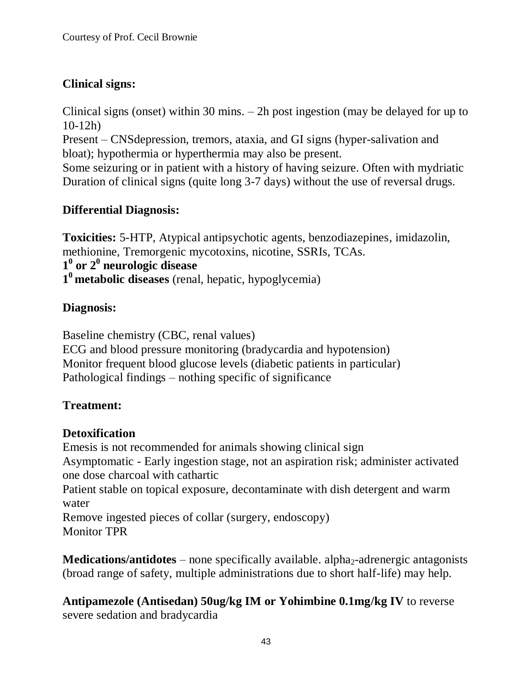# **Clinical signs:**

Clinical signs (onset) within 30 mins. – 2h post ingestion (may be delayed for up to 10-12h)

Present – CNSdepression, tremors, ataxia, and GI signs (hyper-salivation and bloat); hypothermia or hyperthermia may also be present.

Some seizuring or in patient with a history of having seizure. Often with mydriatic Duration of clinical signs (quite long 3-7 days) without the use of reversal drugs.

# **Differential Diagnosis:**

**Toxicities:** 5-HTP, Atypical antipsychotic agents, benzodiazepines, imidazolin, methionine, Tremorgenic mycotoxins, nicotine, SSRIs, TCAs. **1 0 or 2<sup>0</sup> neurologic disease 1 <sup>0</sup>metabolic diseases** (renal, hepatic, hypoglycemia)

# **Diagnosis:**

Baseline chemistry (CBC, renal values) ECG and blood pressure monitoring (bradycardia and hypotension) Monitor frequent blood glucose levels (diabetic patients in particular) Pathological findings – nothing specific of significance

# **Treatment:**

# **Detoxification**

Emesis is not recommended for animals showing clinical sign Asymptomatic - Early ingestion stage, not an aspiration risk; administer activated one dose charcoal with cathartic Patient stable on topical exposure, decontaminate with dish detergent and warm water Remove ingested pieces of collar (surgery, endoscopy)

Monitor TPR

**Medications/antidotes** – none specifically available. alpha<sub>2</sub>-adrenergic antagonists (broad range of safety, multiple administrations due to short half-life) may help.

**Antipamezole (Antisedan) 50ug/kg IM or Yohimbine 0.1mg/kg IV** to reverse severe sedation and bradycardia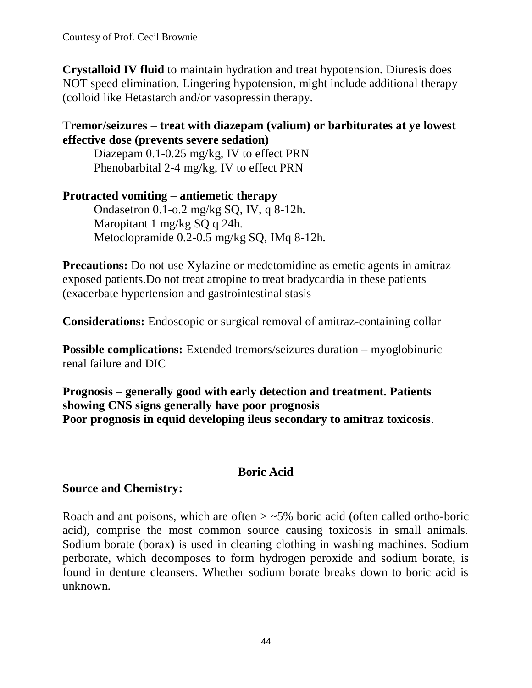**Crystalloid IV fluid** to maintain hydration and treat hypotension. Diuresis does NOT speed elimination. Lingering hypotension, might include additional therapy (colloid like Hetastarch and/or vasopressin therapy.

### **Tremor/seizures – treat with diazepam (valium) or barbiturates at ye lowest effective dose (prevents severe sedation)**

Diazepam 0.1-0.25 mg/kg, IV to effect PRN Phenobarbital 2-4 mg/kg, IV to effect PRN

**Protracted vomiting – antiemetic therapy** Ondasetron 0.1-o.2 mg/kg SQ, IV, q 8-12h. Maropitant 1 mg/kg SQ q 24h. Metoclopramide 0.2-0.5 mg/kg SQ, IMq 8-12h.

**Precautions:** Do not use Xylazine or medetomidine as emetic agents in amitraz exposed patients.Do not treat atropine to treat bradycardia in these patients (exacerbate hypertension and gastrointestinal stasis

**Considerations:** Endoscopic or surgical removal of amitraz-containing collar

**Possible complications:** Extended tremors/seizures duration – myoglobinuric renal failure and DIC

**Prognosis – generally good with early detection and treatment. Patients showing CNS signs generally have poor prognosis Poor prognosis in equid developing ileus secondary to amitraz toxicosis**.

# **Boric Acid**

# **Source and Chemistry:**

Roach and ant poisons, which are often  $>$  ~5% boric acid (often called ortho-boric acid), comprise the most common source causing toxicosis in small animals. Sodium borate (borax) is used in cleaning clothing in washing machines. Sodium perborate, which decomposes to form hydrogen peroxide and sodium borate, is found in denture cleansers. Whether sodium borate breaks down to boric acid is unknown.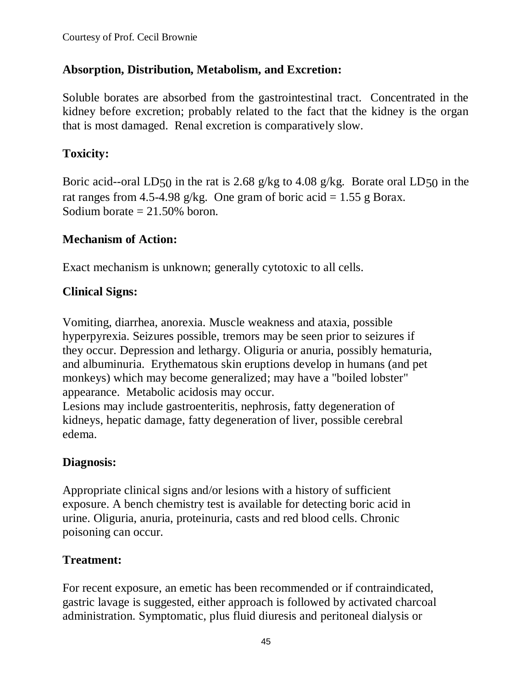# **Absorption, Distribution, Metabolism, and Excretion:**

Soluble borates are absorbed from the gastrointestinal tract. Concentrated in the kidney before excretion; probably related to the fact that the kidney is the organ that is most damaged. Renal excretion is comparatively slow.

# **Toxicity:**

Boric acid--oral LD50 in the rat is 2.68 g/kg to 4.08 g/kg. Borate oral LD50 in the rat ranges from 4.5-4.98 g/kg. One gram of boric acid = 1.55 g Borax. Sodium borate  $= 21.50\%$  boron.

# **Mechanism of Action:**

Exact mechanism is unknown; generally cytotoxic to all cells.

# **Clinical Signs:**

Vomiting, diarrhea, anorexia. Muscle weakness and ataxia, possible hyperpyrexia. Seizures possible, tremors may be seen prior to seizures if they occur. Depression and lethargy. Oliguria or anuria, possibly hematuria, and albuminuria. Erythematous skin eruptions develop in humans (and pet monkeys) which may become generalized; may have a "boiled lobster" appearance. Metabolic acidosis may occur.

Lesions may include gastroenteritis, nephrosis, fatty degeneration of kidneys, hepatic damage, fatty degeneration of liver, possible cerebral edema.

# **Diagnosis:**

Appropriate clinical signs and/or lesions with a history of sufficient exposure. A bench chemistry test is available for detecting boric acid in urine. Oliguria, anuria, proteinuria, casts and red blood cells. Chronic poisoning can occur.

# **Treatment:**

For recent exposure, an emetic has been recommended or if contraindicated, gastric lavage is suggested, either approach is followed by activated charcoal administration. Symptomatic, plus fluid diuresis and peritoneal dialysis or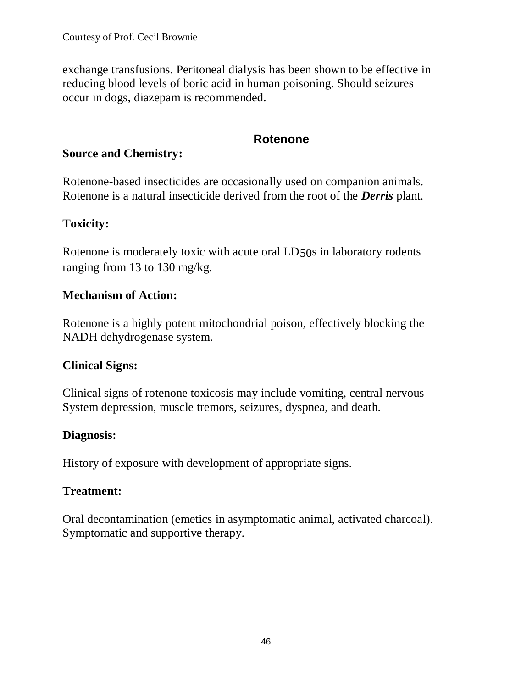exchange transfusions. Peritoneal dialysis has been shown to be effective in reducing blood levels of boric acid in human poisoning. Should seizures occur in dogs, diazepam is recommended.

# **Rotenone**

#### **Source and Chemistry:**

Rotenone-based insecticides are occasionally used on companion animals. Rotenone is a natural insecticide derived from the root of the *Derris* plant.

# **Toxicity:**

Rotenone is moderately toxic with acute oral LD50s in laboratory rodents ranging from 13 to 130 mg/kg.

### **Mechanism of Action:**

Rotenone is a highly potent mitochondrial poison, effectively blocking the NADH dehydrogenase system.

# **Clinical Signs:**

Clinical signs of rotenone toxicosis may include vomiting, central nervous System depression, muscle tremors, seizures, dyspnea, and death.

# **Diagnosis:**

History of exposure with development of appropriate signs.

# **Treatment:**

Oral decontamination (emetics in asymptomatic animal, activated charcoal). Symptomatic and supportive therapy.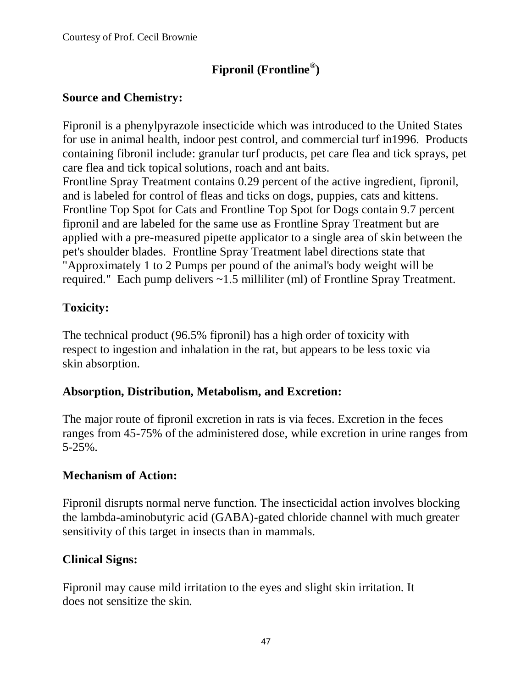# **Fipronil (Frontline® )**

# **Source and Chemistry:**

Fipronil is a phenylpyrazole insecticide which was introduced to the United States for use in animal health, indoor pest control, and commercial turf in1996. Products containing fibronil include: granular turf products, pet care flea and tick sprays, pet care flea and tick topical solutions, roach and ant baits.

Frontline Spray Treatment contains 0.29 percent of the active ingredient, fipronil, and is labeled for control of fleas and ticks on dogs, puppies, cats and kittens. Frontline Top Spot for Cats and Frontline Top Spot for Dogs contain 9.7 percent fipronil and are labeled for the same use as Frontline Spray Treatment but are applied with a pre-measured pipette applicator to a single area of skin between the pet's shoulder blades. Frontline Spray Treatment label directions state that "Approximately 1 to 2 Pumps per pound of the animal's body weight will be required." Each pump delivers ~1.5 milliliter (ml) of Frontline Spray Treatment.

# **Toxicity:**

The technical product (96.5% fipronil) has a high order of toxicity with respect to ingestion and inhalation in the rat, but appears to be less toxic via skin absorption.

# **Absorption, Distribution, Metabolism, and Excretion:**

The major route of fipronil excretion in rats is via feces. Excretion in the feces ranges from 45-75% of the administered dose, while excretion in urine ranges from 5-25%.

# **Mechanism of Action:**

Fipronil disrupts normal nerve function. The insecticidal action involves blocking the lambda-aminobutyric acid (GABA)-gated chloride channel with much greater sensitivity of this target in insects than in mammals.

# **Clinical Signs:**

Fipronil may cause mild irritation to the eyes and slight skin irritation. It does not sensitize the skin.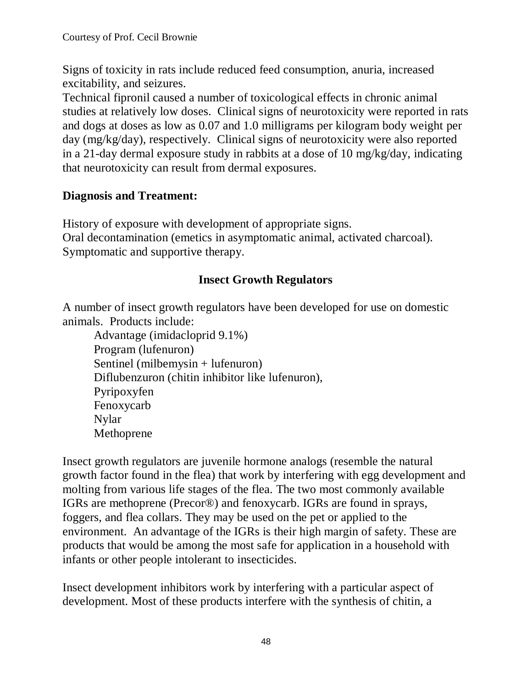Signs of toxicity in rats include reduced feed consumption, anuria, increased excitability, and seizures.

Technical fipronil caused a number of toxicological effects in chronic animal studies at relatively low doses. Clinical signs of neurotoxicity were reported in rats and dogs at doses as low as 0.07 and 1.0 milligrams per kilogram body weight per day (mg/kg/day), respectively. Clinical signs of neurotoxicity were also reported in a 21-day dermal exposure study in rabbits at a dose of 10 mg/kg/day, indicating that neurotoxicity can result from dermal exposures.

# **Diagnosis and Treatment:**

History of exposure with development of appropriate signs. Oral decontamination (emetics in asymptomatic animal, activated charcoal). Symptomatic and supportive therapy.

# **Insect Growth Regulators**

A number of insect growth regulators have been developed for use on domestic animals. Products include:

Advantage (imidacloprid 9.1%) Program (lufenuron) Sentinel (milbemysin + lufenuron) Diflubenzuron (chitin inhibitor like lufenuron), Pyripoxyfen Fenoxycarb Nylar Methoprene

Insect growth regulators are juvenile hormone analogs (resemble the natural growth factor found in the flea) that work by interfering with egg development and molting from various life stages of the flea. The two most commonly available IGRs are methoprene (Precor®) and fenoxycarb. IGRs are found in sprays, foggers, and flea collars. They may be used on the pet or applied to the environment. An advantage of the IGRs is their high margin of safety. These are products that would be among the most safe for application in a household with infants or other people intolerant to insecticides.

Insect development inhibitors work by interfering with a particular aspect of development. Most of these products interfere with the synthesis of chitin, a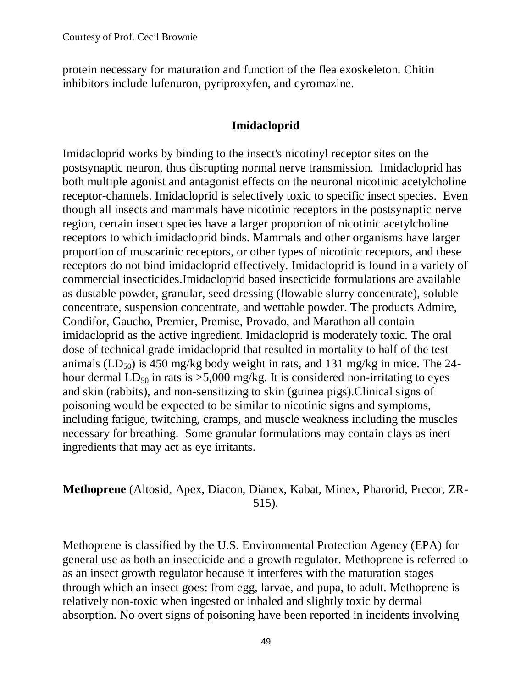protein necessary for maturation and function of the flea exoskeleton. Chitin inhibitors include lufenuron, pyriproxyfen, and cyromazine.

#### **Imidacloprid**

Imidacloprid works by binding to the insect's nicotinyl receptor sites on the postsynaptic neuron, thus disrupting normal nerve transmission. Imidacloprid has both multiple agonist and antagonist effects on the neuronal nicotinic acetylcholine receptor-channels. Imidacloprid is selectively toxic to specific insect species. Even though all insects and mammals have nicotinic receptors in the postsynaptic nerve region, certain insect species have a larger proportion of nicotinic acetylcholine receptors to which imidacloprid binds. Mammals and other organisms have larger proportion of muscarinic receptors, or other types of nicotinic receptors, and these receptors do not bind imidacloprid effectively. Imidacloprid is found in a variety of commercial insecticides.Imidacloprid based insecticide formulations are available as dustable powder, granular, seed dressing (flowable slurry concentrate), soluble concentrate, suspension concentrate, and wettable powder. The products Admire, Condifor, Gaucho, Premier, Premise, Provado, and Marathon all contain imidacloprid as the active ingredient. Imidacloprid is moderately toxic. The oral dose of technical grade imidacloprid that resulted in mortality to half of the test animals (LD<sub>50</sub>) is 450 mg/kg body weight in rats, and 131 mg/kg in mice. The 24hour dermal  $LD_{50}$  in rats is  $>5,000$  mg/kg. It is considered non-irritating to eyes and skin (rabbits), and non-sensitizing to skin (guinea pigs).Clinical signs of poisoning would be expected to be similar to nicotinic signs and symptoms, including fatigue, twitching, cramps, and muscle weakness including the muscles necessary for breathing. Some granular formulations may contain clays as inert ingredients that may act as eye irritants.

### **Methoprene** (Altosid, Apex, Diacon, Dianex, Kabat, Minex, Pharorid, Precor, ZR-515).

Methoprene is classified by the U.S. Environmental Protection Agency (EPA) for general use as both an insecticide and a growth regulator. Methoprene is referred to as an insect growth regulator because it interferes with the maturation stages through which an insect goes: from egg, larvae, and pupa, to adult. Methoprene is relatively non-toxic when ingested or inhaled and slightly toxic by dermal absorption. No overt signs of poisoning have been reported in incidents involving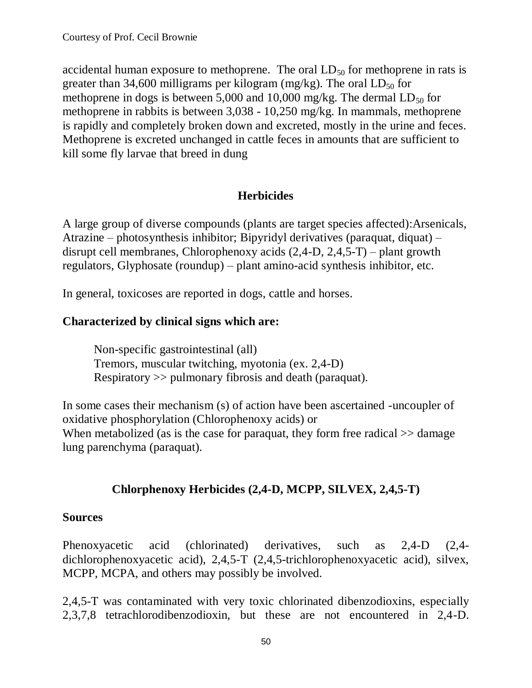accidental human exposure to methoprene. The oral  $LD_{50}$  for methoprene in rats is greater than 34,600 milligrams per kilogram (mg/kg). The oral  $LD_{50}$  for methoprene in dogs is between 5,000 and 10,000 mg/kg. The dermal  $LD_{50}$  for methoprene in rabbits is between 3,038 - 10,250 mg/kg. In mammals, methoprene is rapidly and completely broken down and excreted, mostly in the urine and feces. Methoprene is excreted unchanged in cattle feces in amounts that are sufficient to kill some fly larvae that breed in dung

### **Herbicides**

A large group of diverse compounds (plants are target species affected):Arsenicals, Atrazine – photosynthesis inhibitor; Bipyridyl derivatives (paraquat, diquat) – disrupt cell membranes, Chlorophenoxy acids (2,4-D, 2,4,5-T) – plant growth regulators, Glyphosate (roundup) – plant amino-acid synthesis inhibitor, etc.

In general, toxicoses are reported in dogs, cattle and horses.

### **Characterized by clinical signs which are:**

Non-specific gastrointestinal (all) Tremors, muscular twitching, myotonia (ex. 2,4-D) Respiratory >> pulmonary fibrosis and death (paraquat).

In some cases their mechanism (s) of action have been ascertained -uncoupler of oxidative phosphorylation (Chlorophenoxy acids) or When metabolized (as is the case for paraquat, they form free radical  $\gg$  damage lung parenchyma (paraquat).

# **Chlorphenoxy Herbicides (2,4-D, MCPP, SILVEX, 2,4,5-T)**

#### **Sources**

Phenoxyacetic acid (chlorinated) derivatives, such as 2,4-D (2,4 dichlorophenoxyacetic acid), 2,4,5-T (2,4,5-trichlorophenoxyacetic acid), silvex, MCPP, MCPA, and others may possibly be involved.

2,4,5-T was contaminated with very toxic chlorinated dibenzodioxins, especially 2,3,7,8 tetrachlorodibenzodioxin, but these are not encountered in 2,4-D.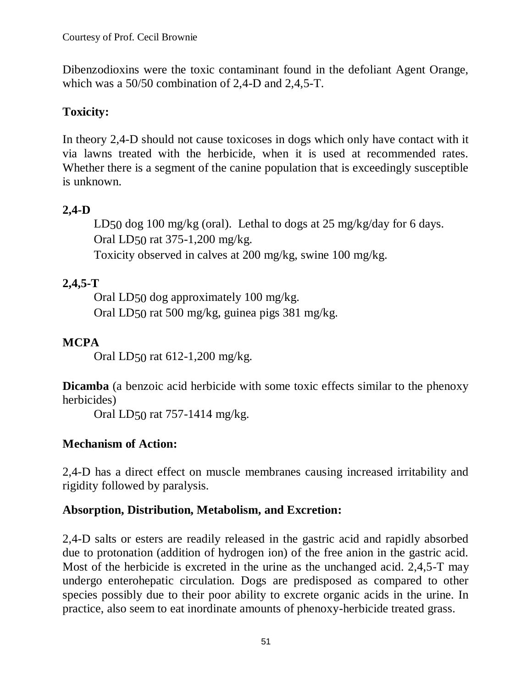Dibenzodioxins were the toxic contaminant found in the defoliant Agent Orange, which was a 50/50 combination of 2,4-D and 2,4,5-T.

# **Toxicity:**

In theory 2,4-D should not cause toxicoses in dogs which only have contact with it via lawns treated with the herbicide, when it is used at recommended rates. Whether there is a segment of the canine population that is exceedingly susceptible is unknown.

# **2,4-D**

LD50 dog 100 mg/kg (oral). Lethal to dogs at 25 mg/kg/day for 6 days. Oral LD50 rat 375-1,200 mg/kg.

Toxicity observed in calves at 200 mg/kg, swine 100 mg/kg.

# **2,4,5-T**

Oral LD50 dog approximately 100 mg/kg. Oral LD50 rat 500 mg/kg, guinea pigs 381 mg/kg.

# **MCPA**

Oral LD50 rat 612-1,200 mg/kg.

**Dicamba** (a benzoic acid herbicide with some toxic effects similar to the phenoxy herbicides)

Oral LD50 rat 757-1414 mg/kg.

# **Mechanism of Action:**

2,4-D has a direct effect on muscle membranes causing increased irritability and rigidity followed by paralysis.

# **Absorption, Distribution, Metabolism, and Excretion:**

2,4-D salts or esters are readily released in the gastric acid and rapidly absorbed due to protonation (addition of hydrogen ion) of the free anion in the gastric acid. Most of the herbicide is excreted in the urine as the unchanged acid. 2,4,5-T may undergo enterohepatic circulation. Dogs are predisposed as compared to other species possibly due to their poor ability to excrete organic acids in the urine. In practice, also seem to eat inordinate amounts of phenoxy-herbicide treated grass.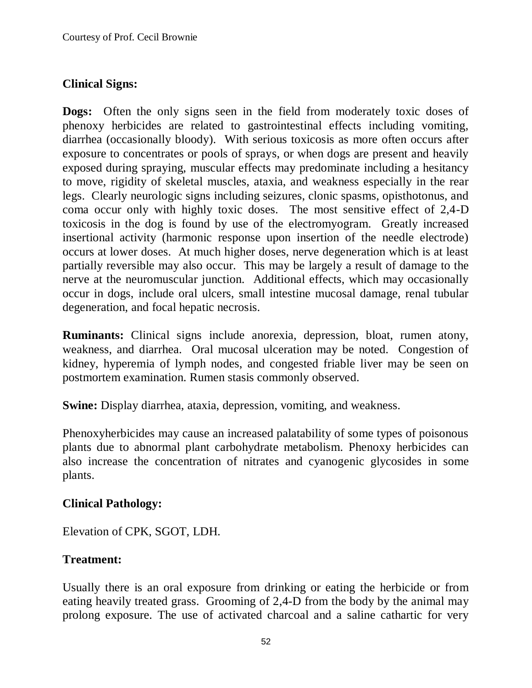# **Clinical Signs:**

**Dogs:** Often the only signs seen in the field from moderately toxic doses of phenoxy herbicides are related to gastrointestinal effects including vomiting, diarrhea (occasionally bloody). With serious toxicosis as more often occurs after exposure to concentrates or pools of sprays, or when dogs are present and heavily exposed during spraying, muscular effects may predominate including a hesitancy to move, rigidity of skeletal muscles, ataxia, and weakness especially in the rear legs. Clearly neurologic signs including seizures, clonic spasms, opisthotonus, and coma occur only with highly toxic doses. The most sensitive effect of 2,4-D toxicosis in the dog is found by use of the electromyogram. Greatly increased insertional activity (harmonic response upon insertion of the needle electrode) occurs at lower doses. At much higher doses, nerve degeneration which is at least partially reversible may also occur. This may be largely a result of damage to the nerve at the neuromuscular junction. Additional effects, which may occasionally occur in dogs, include oral ulcers, small intestine mucosal damage, renal tubular degeneration, and focal hepatic necrosis.

**Ruminants:** Clinical signs include anorexia, depression, bloat, rumen atony, weakness, and diarrhea. Oral mucosal ulceration may be noted. Congestion of kidney, hyperemia of lymph nodes, and congested friable liver may be seen on postmortem examination. Rumen stasis commonly observed.

**Swine:** Display diarrhea, ataxia, depression, vomiting, and weakness.

Phenoxyherbicides may cause an increased palatability of some types of poisonous plants due to abnormal plant carbohydrate metabolism. Phenoxy herbicides can also increase the concentration of nitrates and cyanogenic glycosides in some plants.

#### **Clinical Pathology:**

Elevation of CPK, SGOT, LDH.

# **Treatment:**

Usually there is an oral exposure from drinking or eating the herbicide or from eating heavily treated grass. Grooming of 2,4-D from the body by the animal may prolong exposure. The use of activated charcoal and a saline cathartic for very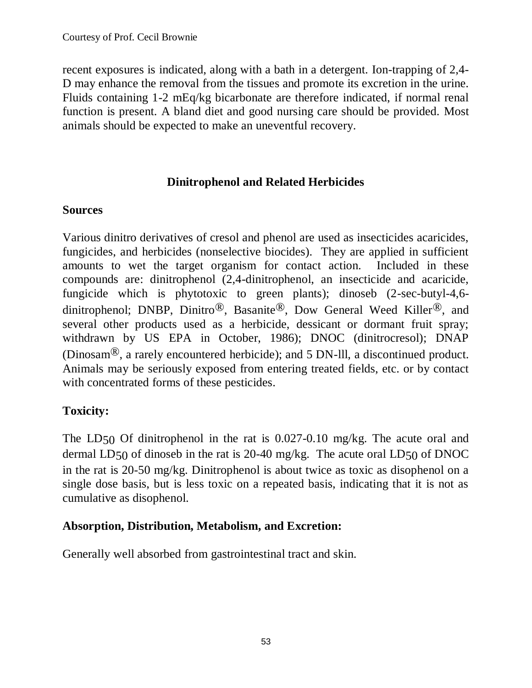recent exposures is indicated, along with a bath in a detergent. Ion-trapping of 2,4- D may enhance the removal from the tissues and promote its excretion in the urine. Fluids containing 1-2 mEq/kg bicarbonate are therefore indicated, if normal renal function is present. A bland diet and good nursing care should be provided. Most animals should be expected to make an uneventful recovery.

### **Dinitrophenol and Related Herbicides**

### **Sources**

Various dinitro derivatives of cresol and phenol are used as insecticides acaricides, fungicides, and herbicides (nonselective biocides). They are applied in sufficient amounts to wet the target organism for contact action. Included in these compounds are: dinitrophenol (2,4-dinitrophenol, an insecticide and acaricide, fungicide which is phytotoxic to green plants); dinoseb (2-sec-butyl-4,6 dinitrophenol; DNBP, Dinitro®, Basanite®, Dow General Weed Killer®, and several other products used as a herbicide, dessicant or dormant fruit spray; withdrawn by US EPA in October, 1986); DNOC (dinitrocresol); DNAP (Dinosam®, a rarely encountered herbicide); and 5 DN-lll, a discontinued product. Animals may be seriously exposed from entering treated fields, etc. or by contact with concentrated forms of these pesticides.

# **Toxicity:**

The LD50 Of dinitrophenol in the rat is 0.027-0.10 mg/kg. The acute oral and dermal LD50 of dinoseb in the rat is 20-40 mg/kg. The acute oral LD50 of DNOC in the rat is 20-50 mg/kg. Dinitrophenol is about twice as toxic as disophenol on a single dose basis, but is less toxic on a repeated basis, indicating that it is not as cumulative as disophenol.

# **Absorption, Distribution, Metabolism, and Excretion:**

Generally well absorbed from gastrointestinal tract and skin.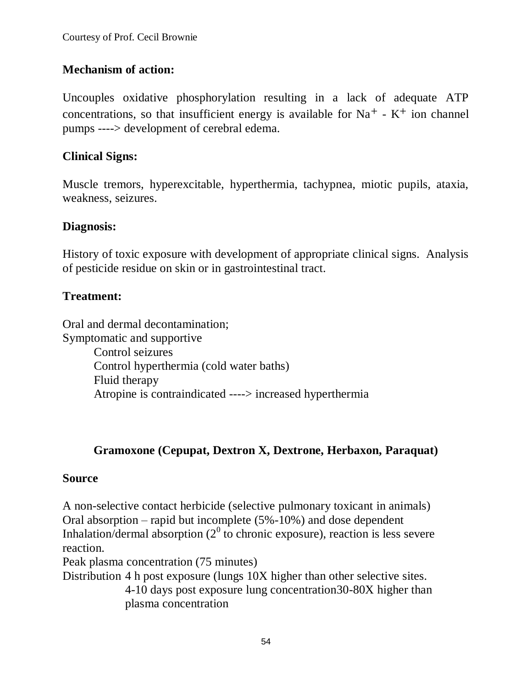# **Mechanism of action:**

Uncouples oxidative phosphorylation resulting in a lack of adequate ATP concentrations, so that insufficient energy is available for  $Na<sup>+</sup> - K<sup>+</sup>$  ion channel pumps ----> development of cerebral edema.

# **Clinical Signs:**

Muscle tremors, hyperexcitable, hyperthermia, tachypnea, miotic pupils, ataxia, weakness, seizures.

### **Diagnosis:**

History of toxic exposure with development of appropriate clinical signs. Analysis of pesticide residue on skin or in gastrointestinal tract.

### **Treatment:**

Oral and dermal decontamination; Symptomatic and supportive Control seizures Control hyperthermia (cold water baths) Fluid therapy Atropine is contraindicated ----> increased hyperthermia

# **Gramoxone (Cepupat, Dextron X, Dextrone, Herbaxon, Paraquat)**

#### **Source**

A non-selective contact herbicide (selective pulmonary toxicant in animals) Oral absorption – rapid but incomplete (5%-10%) and dose dependent Inhalation/dermal absorption ( $2^0$  to chronic exposure), reaction is less severe reaction.

Peak plasma concentration (75 minutes)

Distribution 4 h post exposure (lungs 10X higher than other selective sites. 4-10 days post exposure lung concentration30-80X higher than plasma concentration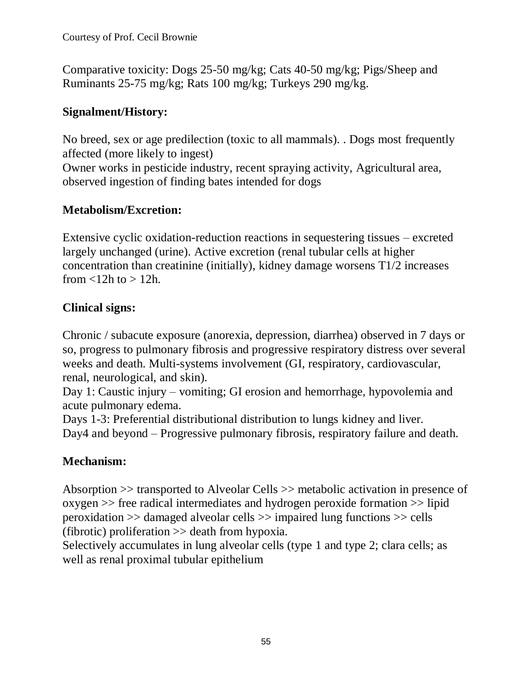Comparative toxicity: Dogs 25-50 mg/kg; Cats 40-50 mg/kg; Pigs/Sheep and Ruminants 25-75 mg/kg; Rats 100 mg/kg; Turkeys 290 mg/kg.

# **Signalment/History:**

No breed, sex or age predilection (toxic to all mammals). . Dogs most frequently affected (more likely to ingest)

Owner works in pesticide industry, recent spraying activity, Agricultural area, observed ingestion of finding bates intended for dogs

# **Metabolism/Excretion:**

Extensive cyclic oxidation-reduction reactions in sequestering tissues – excreted largely unchanged (urine). Active excretion (renal tubular cells at higher concentration than creatinine (initially), kidney damage worsens T1/2 increases from  $\langle 12h \text{ to } \rangle 12h$ .

# **Clinical signs:**

Chronic / subacute exposure (anorexia, depression, diarrhea) observed in 7 days or so, progress to pulmonary fibrosis and progressive respiratory distress over several weeks and death. Multi-systems involvement (GI, respiratory, cardiovascular, renal, neurological, and skin).

Day 1: Caustic injury – vomiting; GI erosion and hemorrhage, hypovolemia and acute pulmonary edema.

Days 1-3: Preferential distributional distribution to lungs kidney and liver. Day4 and beyond – Progressive pulmonary fibrosis, respiratory failure and death.

# **Mechanism:**

Absorption >> transported to Alveolar Cells >> metabolic activation in presence of oxygen >> free radical intermediates and hydrogen peroxide formation >> lipid peroxidation >> damaged alveolar cells >> impaired lung functions >> cells (fibrotic) proliferation >> death from hypoxia.

Selectively accumulates in lung alveolar cells (type 1 and type 2; clara cells; as well as renal proximal tubular epithelium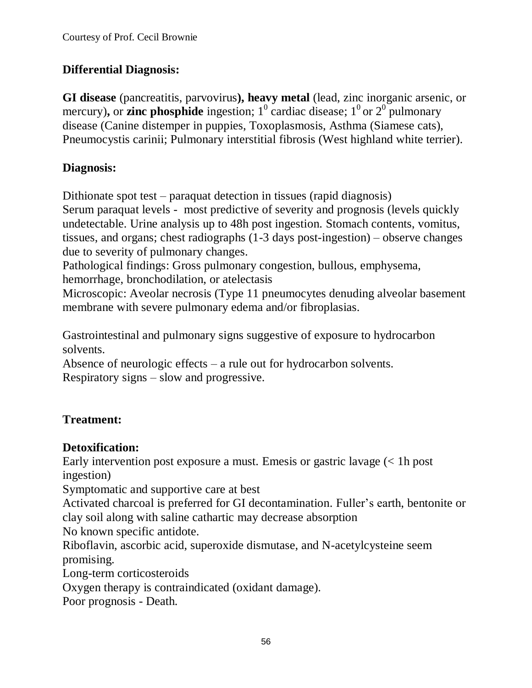# **Differential Diagnosis:**

**GI disease** (pancreatitis, parvovirus**), heavy metal** (lead, zinc inorganic arsenic, or mercury), or **zinc phosphide** ingestion;  $1^0$  cardiac disease;  $1^0$  or  $2^0$  pulmonary disease (Canine distemper in puppies, Toxoplasmosis, Asthma (Siamese cats), Pneumocystis carinii; Pulmonary interstitial fibrosis (West highland white terrier).

# **Diagnosis:**

Dithionate spot test – paraquat detection in tissues (rapid diagnosis)

Serum paraquat levels - most predictive of severity and prognosis (levels quickly undetectable. Urine analysis up to 48h post ingestion. Stomach contents, vomitus, tissues, and organs; chest radiographs (1-3 days post-ingestion) – observe changes due to severity of pulmonary changes.

Pathological findings: Gross pulmonary congestion, bullous, emphysema, hemorrhage, bronchodilation, or atelectasis

Microscopic: Aveolar necrosis (Type 11 pneumocytes denuding alveolar basement membrane with severe pulmonary edema and/or fibroplasias.

Gastrointestinal and pulmonary signs suggestive of exposure to hydrocarbon solvents.

Absence of neurologic effects – a rule out for hydrocarbon solvents. Respiratory signs – slow and progressive.

# **Treatment:**

# **Detoxification:**

Early intervention post exposure a must. Emesis or gastric lavage (< 1h post ingestion)

Symptomatic and supportive care at best

Activated charcoal is preferred for GI decontamination. Fuller's earth, bentonite or clay soil along with saline cathartic may decrease absorption

No known specific antidote.

Riboflavin, ascorbic acid, superoxide dismutase, and N-acetylcysteine seem promising.

Long-term corticosteroids

Oxygen therapy is contraindicated (oxidant damage).

Poor prognosis - Death.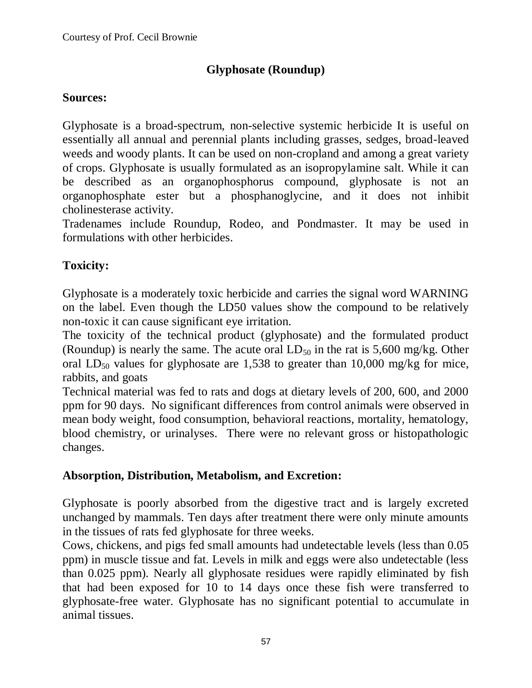# **Glyphosate (Roundup)**

#### **Sources:**

Glyphosate is a broad-spectrum, non-selective systemic herbicide It is useful on essentially all annual and perennial plants including grasses, sedges, broad-leaved weeds and woody plants. It can be used on non-cropland and among a great variety of crops. Glyphosate is usually formulated as an isopropylamine salt. While it can be described as an organophosphorus compound, glyphosate is not an organophosphate ester but a phosphanoglycine, and it does not inhibit cholinesterase activity.

Tradenames include Roundup, Rodeo, and Pondmaster. It may be used in formulations with other herbicides.

# **Toxicity:**

Glyphosate is a moderately toxic herbicide and carries the signal word WARNING on the label. Even though the LD50 values show the compound to be relatively non-toxic it can cause significant eye irritation.

The toxicity of the technical product (glyphosate) and the formulated product (Roundup) is nearly the same. The acute oral  $LD_{50}$  in the rat is 5,600 mg/kg. Other oral LD<sub>50</sub> values for glyphosate are 1,538 to greater than 10,000 mg/kg for mice, rabbits, and goats

Technical material was fed to rats and dogs at dietary levels of 200, 600, and 2000 ppm for 90 days. No significant differences from control animals were observed in mean body weight, food consumption, behavioral reactions, mortality, hematology, blood chemistry, or urinalyses. There were no relevant gross or histopathologic changes.

# **Absorption, Distribution, Metabolism, and Excretion:**

Glyphosate is poorly absorbed from the digestive tract and is largely excreted unchanged by mammals. Ten days after treatment there were only minute amounts in the tissues of rats fed glyphosate for three weeks.

Cows, chickens, and pigs fed small amounts had undetectable levels (less than 0.05 ppm) in muscle tissue and fat. Levels in milk and eggs were also undetectable (less than 0.025 ppm). Nearly all glyphosate residues were rapidly eliminated by fish that had been exposed for 10 to 14 days once these fish were transferred to glyphosate-free water. Glyphosate has no significant potential to accumulate in animal tissues.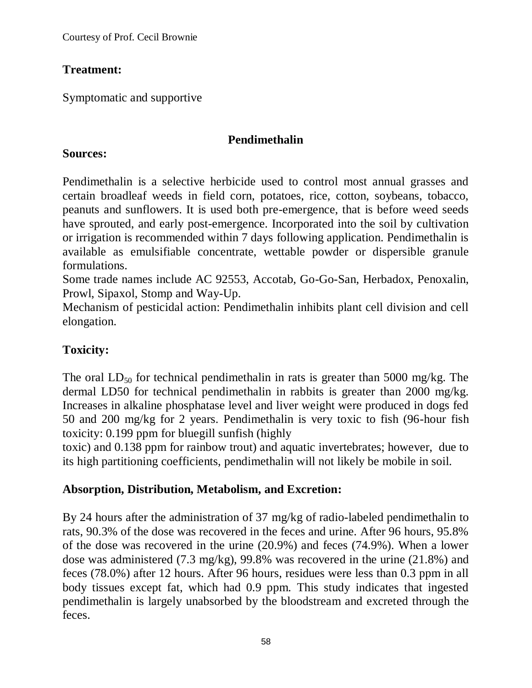Courtesy of Prof. Cecil Brownie

# **Treatment:**

Symptomatic and supportive

# **Pendimethalin**

#### **Sources:**

Pendimethalin is a selective herbicide used to control most annual grasses and certain broadleaf weeds in field corn, potatoes, rice, cotton, soybeans, tobacco, peanuts and sunflowers. It is used both pre-emergence, that is before weed seeds have sprouted, and early post-emergence. Incorporated into the soil by cultivation or irrigation is recommended within 7 days following application. Pendimethalin is available as emulsifiable concentrate, wettable powder or dispersible granule formulations.

Some trade names include AC 92553, Accotab, Go-Go-San, Herbadox, Penoxalin, Prowl, Sipaxol, Stomp and Way-Up.

Mechanism of pesticidal action: Pendimethalin inhibits plant cell division and cell elongation.

# **Toxicity:**

The oral  $LD_{50}$  for technical pendimethalin in rats is greater than 5000 mg/kg. The dermal LD50 for technical pendimethalin in rabbits is greater than 2000 mg/kg. Increases in alkaline phosphatase level and liver weight were produced in dogs fed 50 and 200 mg/kg for 2 years. Pendimethalin is very toxic to fish (96-hour fish toxicity: 0.199 ppm for bluegill sunfish (highly

toxic) and 0.138 ppm for rainbow trout) and aquatic invertebrates; however, due to its high partitioning coefficients, pendimethalin will not likely be mobile in soil.

# **Absorption, Distribution, Metabolism, and Excretion:**

By 24 hours after the administration of 37 mg/kg of radio-labeled pendimethalin to rats, 90.3% of the dose was recovered in the feces and urine. After 96 hours, 95.8% of the dose was recovered in the urine (20.9%) and feces (74.9%). When a lower dose was administered (7.3 mg/kg), 99.8% was recovered in the urine (21.8%) and feces (78.0%) after 12 hours. After 96 hours, residues were less than 0.3 ppm in all body tissues except fat, which had 0.9 ppm. This study indicates that ingested pendimethalin is largely unabsorbed by the bloodstream and excreted through the feces.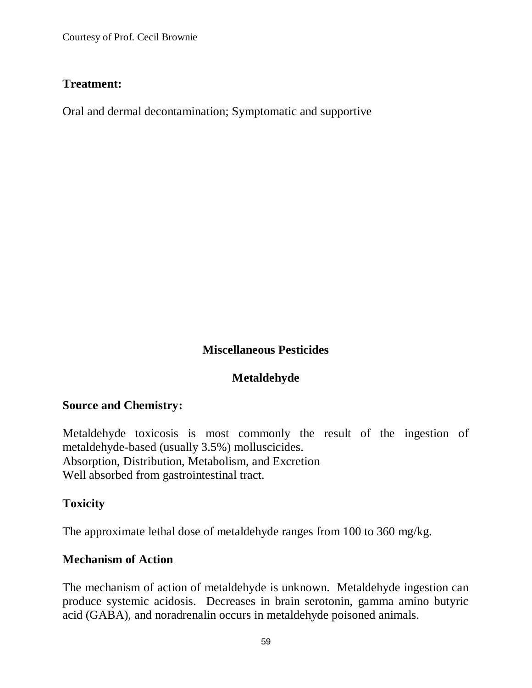Courtesy of Prof. Cecil Brownie

#### **Treatment:**

Oral and dermal decontamination; Symptomatic and supportive

# **Miscellaneous Pesticides**

# **Metaldehyde**

#### **Source and Chemistry:**

Metaldehyde toxicosis is most commonly the result of the ingestion of metaldehyde-based (usually 3.5%) molluscicides. Absorption, Distribution, Metabolism, and Excretion Well absorbed from gastrointestinal tract.

# **Toxicity**

The approximate lethal dose of metaldehyde ranges from 100 to 360 mg/kg.

#### **Mechanism of Action**

The mechanism of action of metaldehyde is unknown. Metaldehyde ingestion can produce systemic acidosis. Decreases in brain serotonin, gamma amino butyric acid (GABA), and noradrenalin occurs in metaldehyde poisoned animals.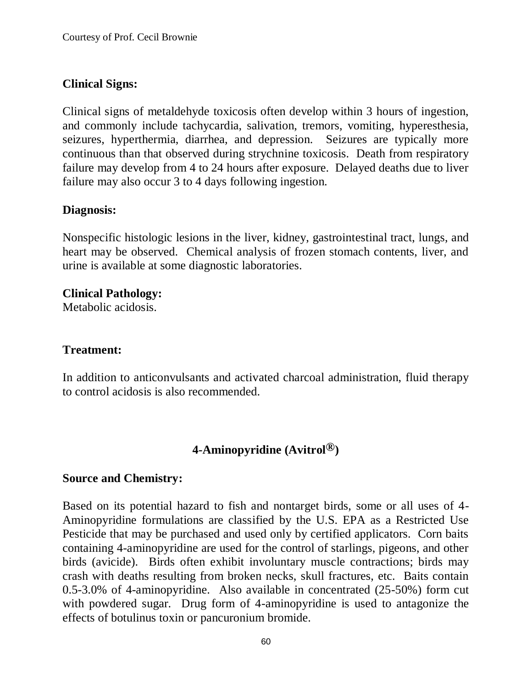### **Clinical Signs:**

Clinical signs of metaldehyde toxicosis often develop within 3 hours of ingestion, and commonly include tachycardia, salivation, tremors, vomiting, hyperesthesia, seizures, hyperthermia, diarrhea, and depression. Seizures are typically more continuous than that observed during strychnine toxicosis. Death from respiratory failure may develop from 4 to 24 hours after exposure. Delayed deaths due to liver failure may also occur 3 to 4 days following ingestion.

### **Diagnosis:**

Nonspecific histologic lesions in the liver, kidney, gastrointestinal tract, lungs, and heart may be observed. Chemical analysis of frozen stomach contents, liver, and urine is available at some diagnostic laboratories.

#### **Clinical Pathology:**

Metabolic acidosis.

### **Treatment:**

In addition to anticonvulsants and activated charcoal administration, fluid therapy to control acidosis is also recommended.

# **4-Aminopyridine (Avitrol®)**

#### **Source and Chemistry:**

Based on its potential hazard to fish and nontarget birds, some or all uses of 4- Aminopyridine formulations are classified by the U.S. EPA as a Restricted Use Pesticide that may be purchased and used only by certified applicators. Corn baits containing 4-aminopyridine are used for the control of starlings, pigeons, and other birds (avicide). Birds often exhibit involuntary muscle contractions; birds may crash with deaths resulting from broken necks, skull fractures, etc. Baits contain 0.5-3.0% of 4-aminopyridine. Also available in concentrated (25-50%) form cut with powdered sugar. Drug form of 4-aminopyridine is used to antagonize the effects of botulinus toxin or pancuronium bromide.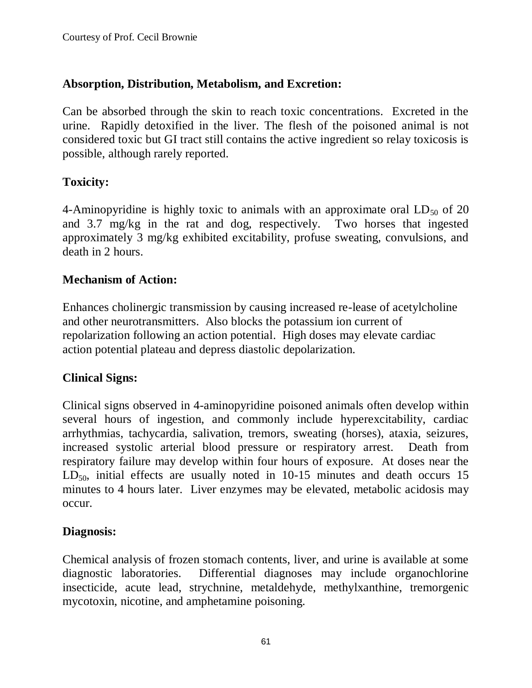### **Absorption, Distribution, Metabolism, and Excretion:**

Can be absorbed through the skin to reach toxic concentrations. Excreted in the urine. Rapidly detoxified in the liver. The flesh of the poisoned animal is not considered toxic but GI tract still contains the active ingredient so relay toxicosis is possible, although rarely reported.

### **Toxicity:**

4-Aminopyridine is highly toxic to animals with an approximate oral  $LD_{50}$  of 20 and 3.7 mg/kg in the rat and dog, respectively. Two horses that ingested approximately 3 mg/kg exhibited excitability, profuse sweating, convulsions, and death in 2 hours.

#### **Mechanism of Action:**

Enhances cholinergic transmission by causing increased re-lease of acetylcholine and other neurotransmitters. Also blocks the potassium ion current of repolarization following an action potential. High doses may elevate cardiac action potential plateau and depress diastolic depolarization.

#### **Clinical Signs:**

Clinical signs observed in 4-aminopyridine poisoned animals often develop within several hours of ingestion, and commonly include hyperexcitability, cardiac arrhythmias, tachycardia, salivation, tremors, sweating (horses), ataxia, seizures, increased systolic arterial blood pressure or respiratory arrest. Death from respiratory failure may develop within four hours of exposure. At doses near the  $LD_{50}$ , initial effects are usually noted in 10-15 minutes and death occurs 15 minutes to 4 hours later. Liver enzymes may be elevated, metabolic acidosis may occur.

#### **Diagnosis:**

Chemical analysis of frozen stomach contents, liver, and urine is available at some diagnostic laboratories. Differential diagnoses may include organochlorine insecticide, acute lead, strychnine, metaldehyde, methylxanthine, tremorgenic mycotoxin, nicotine, and amphetamine poisoning.